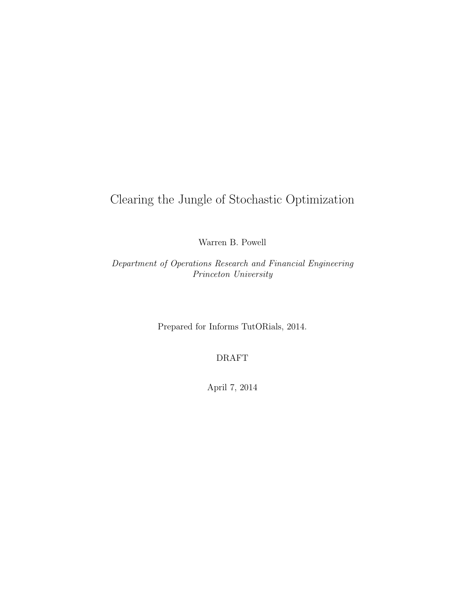# Clearing the Jungle of Stochastic Optimization

Warren B. Powell

Department of Operations Research and Financial Engineering Princeton University

Prepared for Informs TutORials, 2014.

DRAFT

April 7, 2014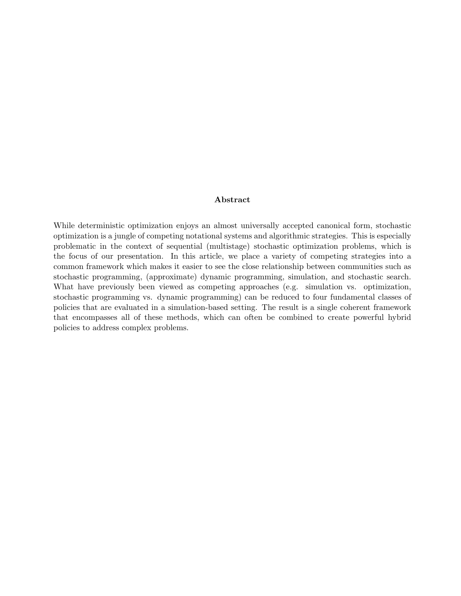#### Abstract

While deterministic optimization enjoys an almost universally accepted canonical form, stochastic optimization is a jungle of competing notational systems and algorithmic strategies. This is especially problematic in the context of sequential (multistage) stochastic optimization problems, which is the focus of our presentation. In this article, we place a variety of competing strategies into a common framework which makes it easier to see the close relationship between communities such as stochastic programming, (approximate) dynamic programming, simulation, and stochastic search. What have previously been viewed as competing approaches (e.g. simulation vs. optimization, stochastic programming vs. dynamic programming) can be reduced to four fundamental classes of policies that are evaluated in a simulation-based setting. The result is a single coherent framework that encompasses all of these methods, which can often be combined to create powerful hybrid policies to address complex problems.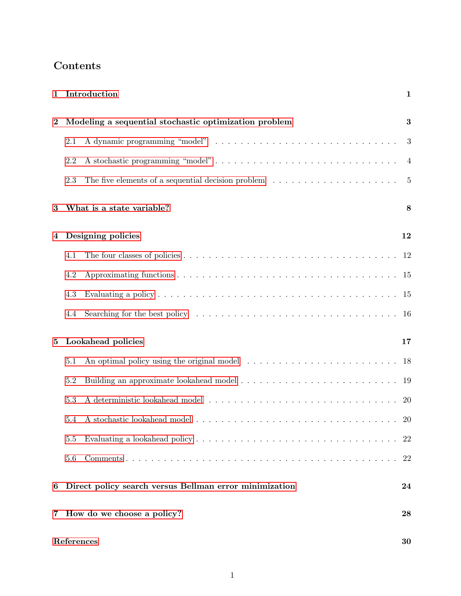## Contents

| $\mathbf{1}$            |                                                        | Introduction                                                                                                   | $\mathbf{1}$   |
|-------------------------|--------------------------------------------------------|----------------------------------------------------------------------------------------------------------------|----------------|
| $\boldsymbol{2}$        | Modeling a sequential stochastic optimization problem  |                                                                                                                | $\bf{3}$       |
|                         | 2.1                                                    |                                                                                                                | 3              |
|                         | 2.2                                                    |                                                                                                                | $\overline{4}$ |
|                         | 2.3                                                    | The five elements of a sequential decision problem $\dots \dots \dots \dots \dots \dots \dots$                 | $\overline{5}$ |
| 3                       |                                                        | What is a state variable?                                                                                      | 8              |
| 4                       |                                                        | Designing policies                                                                                             | 12             |
|                         | 4.1                                                    |                                                                                                                |                |
|                         | 4.2                                                    |                                                                                                                |                |
|                         | 4.3                                                    |                                                                                                                |                |
|                         | 4.4                                                    |                                                                                                                |                |
| Lookahead policies<br>5 |                                                        |                                                                                                                | 17             |
|                         | 5.1                                                    | An optimal policy using the original model $\ldots \ldots \ldots \ldots \ldots \ldots \ldots \ldots \ldots$ 18 |                |
|                         | 5.2                                                    |                                                                                                                |                |
|                         | 5.3                                                    |                                                                                                                | <b>20</b>      |
|                         | 5.4                                                    |                                                                                                                |                |
|                         | 5.5                                                    |                                                                                                                | 22             |
|                         | 5.6                                                    |                                                                                                                | 22             |
| 6                       | Direct policy search versus Bellman error minimization |                                                                                                                | 24             |
| 7                       | How do we choose a policy?                             |                                                                                                                | 28             |
|                         | References                                             |                                                                                                                |                |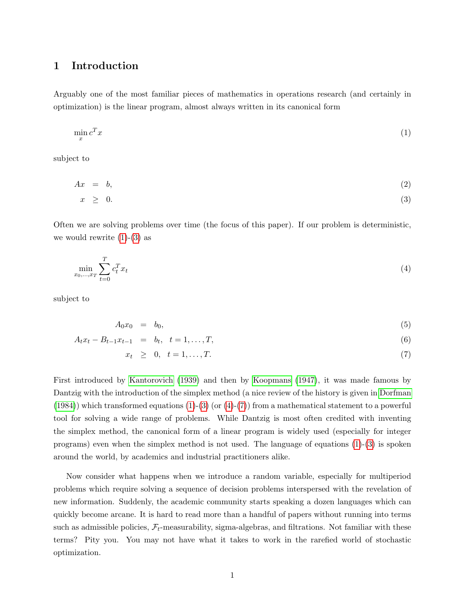## <span id="page-3-0"></span>1 Introduction

Arguably one of the most familiar pieces of mathematics in operations research (and certainly in optimization) is the linear program, almost always written in its canonical form

<span id="page-3-1"></span>
$$
\min_{x} c^{T} x \tag{1}
$$

subject to

<span id="page-3-2"></span>
$$
Ax = b,\tag{2}
$$

$$
x \geq 0. \tag{3}
$$

Often we are solving problems over time (the focus of this paper). If our problem is deterministic, we would rewrite  $(1)-(3)$  $(1)-(3)$  $(1)-(3)$  as

<span id="page-3-3"></span>
$$
\min_{x_0, ..., x_T} \sum_{t=0}^T c_t^T x_t \tag{4}
$$

subject to

<span id="page-3-4"></span>
$$
A_0 x_0 = b_0,\tag{5}
$$

$$
A_t x_t - B_{t-1} x_{t-1} = b_t, \quad t = 1, \dots, T,
$$
\n<sup>(6)</sup>

$$
x_t \geq 0, \quad t = 1, \dots, T. \tag{7}
$$

First introduced by [Kantorovich](#page-34-0) [\(1939\)](#page-34-0) and then by [Koopmans](#page-34-1) [\(1947\)](#page-34-1), it was made famous by Dantzig with the introduction of the simplex method (a nice review of the history is given in [Dorfman](#page-33-0)  $(1984)$ ) which transformed equations  $(1)-(3)$  $(1)-(3)$  $(1)-(3)$  (or  $(4)-(7)$  $(4)-(7)$  $(4)-(7)$ ) from a mathematical statement to a powerful tool for solving a wide range of problems. While Dantzig is most often credited with inventing the simplex method, the canonical form of a linear program is widely used (especially for integer programs) even when the simplex method is not used. The language of equations [\(1\)](#page-3-1)-[\(3\)](#page-3-2) is spoken around the world, by academics and industrial practitioners alike.

Now consider what happens when we introduce a random variable, especially for multiperiod problems which require solving a sequence of decision problems interspersed with the revelation of new information. Suddenly, the academic community starts speaking a dozen languages which can quickly become arcane. It is hard to read more than a handful of papers without running into terms such as admissible policies,  $\mathcal{F}_t$ -measurability, sigma-algebras, and filtrations. Not familiar with these terms? Pity you. You may not have what it takes to work in the rarefied world of stochastic optimization.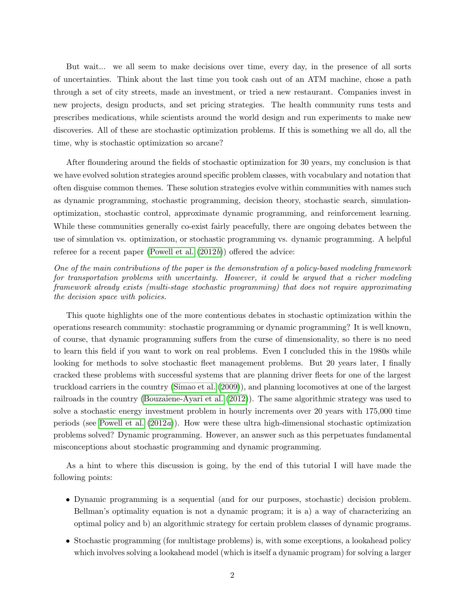But wait... we all seem to make decisions over time, every day, in the presence of all sorts of uncertainties. Think about the last time you took cash out of an ATM machine, chose a path through a set of city streets, made an investment, or tried a new restaurant. Companies invest in new projects, design products, and set pricing strategies. The health community runs tests and prescribes medications, while scientists around the world design and run experiments to make new discoveries. All of these are stochastic optimization problems. If this is something we all do, all the time, why is stochastic optimization so arcane?

After floundering around the fields of stochastic optimization for 30 years, my conclusion is that we have evolved solution strategies around specific problem classes, with vocabulary and notation that often disguise common themes. These solution strategies evolve within communities with names such as dynamic programming, stochastic programming, decision theory, stochastic search, simulationoptimization, stochastic control, approximate dynamic programming, and reinforcement learning. While these communities generally co-exist fairly peacefully, there are ongoing debates between the use of simulation vs. optimization, or stochastic programming vs. dynamic programming. A helpful referee for a recent paper [\(Powell et al.](#page-34-2)  $(2012b)$  $(2012b)$ ) offered the advice:

One of the main contributions of the paper is the demonstration of a policy-based modeling framework for transportation problems with uncertainty. However, it could be argued that a richer modeling framework already exists (multi-stage stochastic programming) that does not require approximating the decision space with policies.

This quote highlights one of the more contentious debates in stochastic optimization within the operations research community: stochastic programming or dynamic programming? It is well known, of course, that dynamic programming suffers from the curse of dimensionality, so there is no need to learn this field if you want to work on real problems. Even I concluded this in the 1980s while looking for methods to solve stochastic fleet management problems. But 20 years later, I finally cracked these problems with successful systems that are planning driver fleets for one of the largest truckload carriers in the country [\(Simao et al.](#page-35-0) [\(2009\)](#page-35-0)), and planning locomotives at one of the largest railroads in the country [\(Bouzaiene-Ayari et al.](#page-33-1) [\(2012\)](#page-33-1)). The same algorithmic strategy was used to solve a stochastic energy investment problem in hourly increments over 20 years with 175,000 time periods (see [Powell et al.](#page-34-3) [\(2012](#page-34-3)a)). How were these ultra high-dimensional stochastic optimization problems solved? Dynamic programming. However, an answer such as this perpetuates fundamental misconceptions about stochastic programming and dynamic programming.

As a hint to where this discussion is going, by the end of this tutorial I will have made the following points:

- Dynamic programming is a sequential (and for our purposes, stochastic) decision problem. Bellman's optimality equation is not a dynamic program; it is a) a way of characterizing an optimal policy and b) an algorithmic strategy for certain problem classes of dynamic programs.
- Stochastic programming (for multistage problems) is, with some exceptions, a lookahead policy which involves solving a lookahead model (which is itself a dynamic program) for solving a larger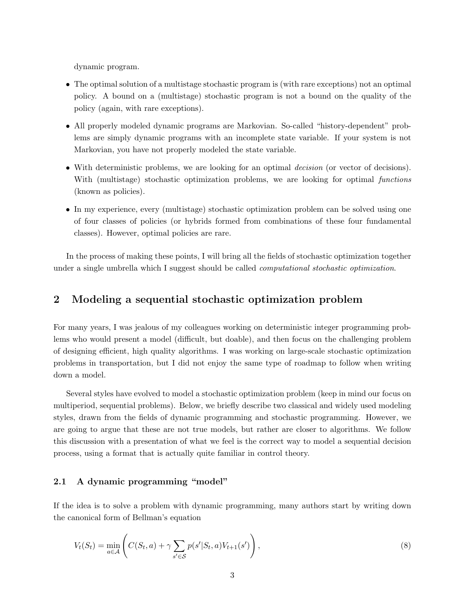dynamic program.

- The optimal solution of a multistage stochastic program is (with rare exceptions) not an optimal policy. A bound on a (multistage) stochastic program is not a bound on the quality of the policy (again, with rare exceptions).
- All properly modeled dynamic programs are Markovian. So-called "history-dependent" problems are simply dynamic programs with an incomplete state variable. If your system is not Markovian, you have not properly modeled the state variable.
- With deterministic problems, we are looking for an optimal *decision* (or vector of decisions). With (multistage) stochastic optimization problems, we are looking for optimal *functions* (known as policies).
- In my experience, every (multistage) stochastic optimization problem can be solved using one of four classes of policies (or hybrids formed from combinations of these four fundamental classes). However, optimal policies are rare.

In the process of making these points, I will bring all the fields of stochastic optimization together under a single umbrella which I suggest should be called *computational stochastic optimization*.

## <span id="page-5-0"></span>2 Modeling a sequential stochastic optimization problem

For many years, I was jealous of my colleagues working on deterministic integer programming problems who would present a model (difficult, but doable), and then focus on the challenging problem of designing efficient, high quality algorithms. I was working on large-scale stochastic optimization problems in transportation, but I did not enjoy the same type of roadmap to follow when writing down a model.

Several styles have evolved to model a stochastic optimization problem (keep in mind our focus on multiperiod, sequential problems). Below, we briefly describe two classical and widely used modeling styles, drawn from the fields of dynamic programming and stochastic programming. However, we are going to argue that these are not true models, but rather are closer to algorithms. We follow this discussion with a presentation of what we feel is the correct way to model a sequential decision process, using a format that is actually quite familiar in control theory.

## <span id="page-5-1"></span>2.1 A dynamic programming "model"

If the idea is to solve a problem with dynamic programming, many authors start by writing down the canonical form of Bellman's equation

<span id="page-5-2"></span>
$$
V_t(S_t) = \min_{a \in \mathcal{A}} \left( C(S_t, a) + \gamma \sum_{s' \in \mathcal{S}} p(s'|S_t, a) V_{t+1}(s') \right),\tag{8}
$$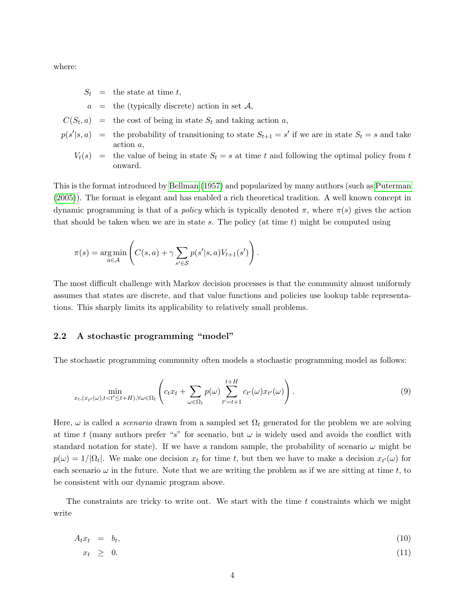where:

 $S_t$  = the state at time t,

 $a =$  the (typically discrete) action in set A,

- $C(S_t, a)$  = the cost of being in state  $S_t$  and taking action a,
- $p(s'|s, a)$  = the probability of transitioning to state  $S_{t+1} = s'$  if we are in state  $S_t = s$  and take action a,

$$
V_t(s)
$$
 = the value of being in state  $S_t = s$  at time t and following the optimal policy from t onward.

This is the format introduced by [Bellman](#page-32-1) [\(1957\)](#page-32-1) and popularized by many authors (such as [Puterman](#page-34-4) [\(2005\)](#page-34-4)). The format is elegant and has enabled a rich theoretical tradition. A well known concept in dynamic programming is that of a *policy* which is typically denoted π, where  $\pi(s)$  gives the action that should be taken when we are in state s. The policy (at time  $t$ ) might be computed using

$$
\pi(s) = \underset{a \in \mathcal{A}}{\arg \min} \left( C(s, a) + \gamma \sum_{s' \in \mathcal{S}} p(s'|s, a) V_{t+1}(s') \right).
$$

The most difficult challenge with Markov decision processes is that the community almost uniformly assumes that states are discrete, and that value functions and policies use lookup table representations. This sharply limits its applicability to relatively small problems.

#### <span id="page-6-0"></span>2.2 A stochastic programming "model"

The stochastic programming community often models a stochastic programming model as follows:

<span id="page-6-1"></span>
$$
\min_{x_t, (x_{t'}(\omega), t < t' \le t + H), \forall \omega \in \Omega_t} \left( c_t x_t + \sum_{\omega \in \Omega_t} p(\omega) \sum_{t'=t+1}^{t+H} c_{t'}(\omega) x_{t'}(\omega) \right).
$$
\n(9)

Here,  $\omega$  is called a *scenario* drawn from a sampled set  $\Omega_t$  generated for the problem we are solving at time t (many authors prefer "s" for scenario, but  $\omega$  is widely used and avoids the conflict with standard notation for state). If we have a random sample, the probability of scenario  $\omega$  might be  $p(\omega) = 1/|\Omega_t|$ . We make one decision  $x_t$  for time t, but then we have to make a decision  $x_{t'}(\omega)$  for each scenario  $\omega$  in the future. Note that we are writing the problem as if we are sitting at time t, to be consistent with our dynamic program above.

The constraints are tricky to write out. We start with the time  $t$  constraints which we might write

$$
A_t x_t = b_t, \tag{10}
$$

$$
x_t \geq 0. \tag{11}
$$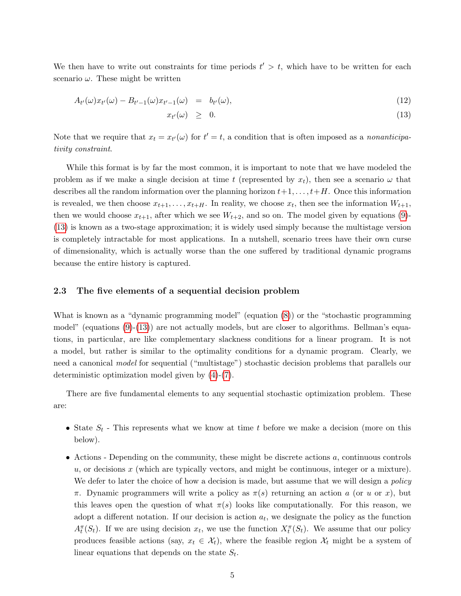We then have to write out constraints for time periods  $t' > t$ , which have to be written for each scenario  $\omega$ . These might be written

<span id="page-7-1"></span>
$$
A_{t'}(\omega)x_{t'}(\omega) - B_{t'-1}(\omega)x_{t'-1}(\omega) = b_{t'}(\omega), \qquad (12)
$$

$$
x_{t'}(\omega) \geq 0. \tag{13}
$$

Note that we require that  $x_t = x_{t'}(\omega)$  for  $t' = t$ , a condition that is often imposed as a *nonanticipa*tivity constraint.

While this format is by far the most common, it is important to note that we have modeled the problem as if we make a single decision at time t (represented by  $x_t$ ), then see a scenario  $\omega$  that describes all the random information over the planning horizon  $t+1, \ldots, t+H$ . Once this information is revealed, we then choose  $x_{t+1}, \ldots, x_{t+H}$ . In reality, we choose  $x_t$ , then see the information  $W_{t+1}$ , then we would choose  $x_{t+1}$ , after which we see  $W_{t+2}$ , and so on. The model given by equations [\(9\)](#page-6-1)-[\(13\)](#page-7-1) is known as a two-stage approximation; it is widely used simply because the multistage version is completely intractable for most applications. In a nutshell, scenario trees have their own curse of dimensionality, which is actually worse than the one suffered by traditional dynamic programs because the entire history is captured.

#### <span id="page-7-0"></span>2.3 The five elements of a sequential decision problem

What is known as a "dynamic programming model" (equation [\(8\)](#page-5-2)) or the "stochastic programming model" (equations [\(9\)](#page-6-1)-[\(13\)](#page-7-1)) are not actually models, but are closer to algorithms. Bellman's equations, in particular, are like complementary slackness conditions for a linear program. It is not a model, but rather is similar to the optimality conditions for a dynamic program. Clearly, we need a canonical *model* for sequential ("multistage") stochastic decision problems that parallels our deterministic optimization model given by [\(4\)](#page-3-3)-[\(7\)](#page-3-4).

There are five fundamental elements to any sequential stochastic optimization problem. These are:

- State  $S_t$  This represents what we know at time t before we make a decision (more on this below).
- Actions Depending on the community, these might be discrete actions a, continuous controls  $u$ , or decisions x (which are typically vectors, and might be continuous, integer or a mixture). We defer to later the choice of how a decision is made, but assume that we will design a *policy* π. Dynamic programmers will write a policy as  $\pi(s)$  returning an action a (or u or x), but this leaves open the question of what  $\pi(s)$  looks like computationally. For this reason, we adopt a different notation. If our decision is action  $a_t$ , we designate the policy as the function  $A_t^{\pi}(S_t)$ . If we are using decision  $x_t$ , we use the function  $X_t^{\pi}(S_t)$ . We assume that our policy produces feasible actions (say,  $x_t \in \mathcal{X}_t$ ), where the feasible region  $\mathcal{X}_t$  might be a system of linear equations that depends on the state  $S_t$ .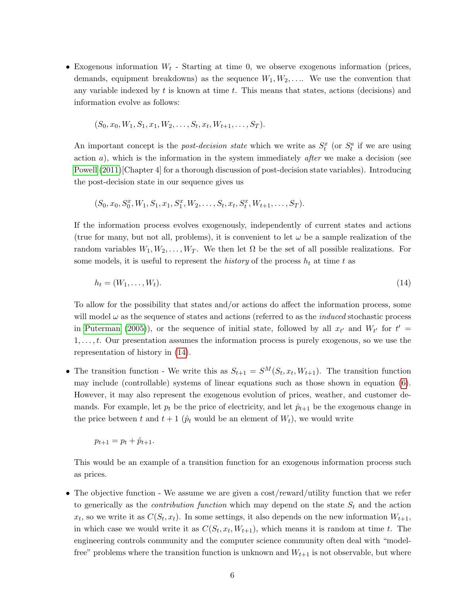• Exogenous information  $W_t$  - Starting at time 0, we observe exogenous information (prices, demands, equipment breakdowns) as the sequence  $W_1, W_2, \ldots$ . We use the convention that any variable indexed by  $t$  is known at time  $t$ . This means that states, actions (decisions) and information evolve as follows:

$$
(S_0, x_0, W_1, S_1, x_1, W_2, \ldots, S_t, x_t, W_{t+1}, \ldots, S_T).
$$

An important concept is the *post-decision state* which we write as  $S_t^x$  (or  $S_t^a$  if we are using action  $a$ ), which is the information in the system immediately *after* we make a decision (see [Powell](#page-34-5)  $(2011)$ [Chapter 4] for a thorough discussion of post-decision state variables). Introducing the post-decision state in our sequence gives us

$$
(S_0, x_0, S_0^x, W_1, S_1, x_1, S_1^x, W_2, \ldots, S_t, x_t, S_t^x, W_{t+1}, \ldots, S_T).
$$

If the information process evolves exogenously, independently of current states and actions (true for many, but not all, problems), it is convenient to let  $\omega$  be a sample realization of the random variables  $W_1, W_2, \ldots, W_T$ . We then let  $\Omega$  be the set of all possible realizations. For some models, it is useful to represent the *history* of the process  $h_t$  at time t as

<span id="page-8-0"></span>
$$
h_t = (W_1, \dots, W_t). \tag{14}
$$

To allow for the possibility that states and/or actions do affect the information process, some will model  $\omega$  as the sequence of states and actions (referred to as the *induced* stochastic process in [Puterman](#page-34-4) [\(2005\)](#page-34-4)), or the sequence of initial state, followed by all  $x_{t'}$  and  $W_{t'}$  for  $t' =$  $1, \ldots, t$ . Our presentation assumes the information process is purely exogenous, so we use the representation of history in [\(14\)](#page-8-0).

• The transition function - We write this as  $S_{t+1} = S^M(S_t, x_t, W_{t+1})$ . The transition function may include (controllable) systems of linear equations such as those shown in equation [\(6\)](#page-3-4). However, it may also represent the exogenous evolution of prices, weather, and customer demands. For example, let  $p_t$  be the price of electricity, and let  $\hat{p}_{t+1}$  be the exogenous change in the price between t and  $t + 1$  ( $\hat{p}_t$  would be an element of  $W_t$ ), we would write

$$
p_{t+1} = p_t + \hat{p}_{t+1}.
$$

This would be an example of a transition function for an exogenous information process such as prices.

• The objective function - We assume we are given a cost/reward/utility function that we refer to generically as the *contribution function* which may depend on the state  $S_t$  and the action  $x_t$ , so we write it as  $C(S_t, x_t)$ . In some settings, it also depends on the new information  $W_{t+1}$ , in which case we would write it as  $C(S_t, x_t, W_{t+1})$ , which means it is random at time t. The engineering controls community and the computer science community often deal with "modelfree" problems where the transition function is unknown and  $W_{t+1}$  is not observable, but where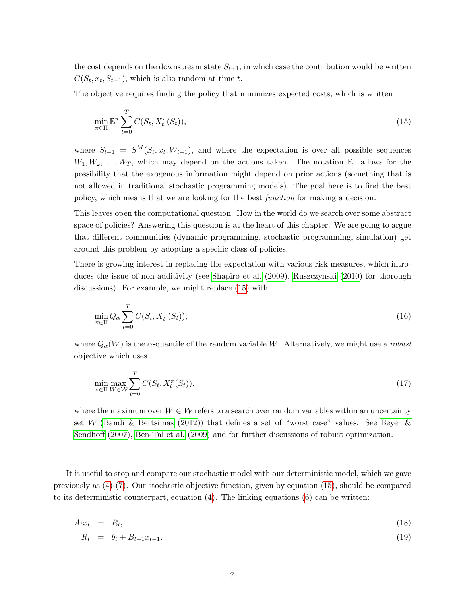the cost depends on the downstream state  $S_{t+1}$ , in which case the contribution would be written  $C(S_t, x_t, S_{t+1}),$  which is also random at time t.

The objective requires finding the policy that minimizes expected costs, which is written

<span id="page-9-0"></span>
$$
\min_{\pi \in \Pi} \mathbb{E}^{\pi} \sum_{t=0}^{T} C(S_t, X_t^{\pi}(S_t)),
$$
\n(15)

where  $S_{t+1} = S^M(S_t, x_t, W_{t+1})$ , and where the expectation is over all possible sequences  $W_1, W_2, \ldots, W_T$ , which may depend on the actions taken. The notation  $\mathbb{E}^{\pi}$  allows for the possibility that the exogenous information might depend on prior actions (something that is not allowed in traditional stochastic programming models). The goal here is to find the best policy, which means that we are looking for the best function for making a decision.

This leaves open the computational question: How in the world do we search over some abstract space of policies? Answering this question is at the heart of this chapter. We are going to argue that different communities (dynamic programming, stochastic programming, simulation) get around this problem by adopting a specific class of policies.

There is growing interest in replacing the expectation with various risk measures, which introduces the issue of non-additivity (see [Shapiro et al.](#page-35-1) [\(2009\)](#page-35-1), [Ruszczynski](#page-35-2) [\(2010\)](#page-35-2) for thorough discussions). For example, we might replace [\(15\)](#page-9-0) with

$$
\min_{\pi \in \Pi} Q_{\alpha} \sum_{t=0}^{T} C(S_t, X_t^{\pi}(S_t)),\tag{16}
$$

where  $Q_{\alpha}(W)$  is the  $\alpha$ -quantile of the random variable W. Alternatively, we might use a robust objective which uses

$$
\min_{\pi \in \Pi} \max_{W \in \mathcal{W}} \sum_{t=0}^{T} C(S_t, X_t^{\pi}(S_t)),
$$
\n(17)

where the maximum over  $W \in \mathcal{W}$  refers to a search over random variables within an uncertainty set W [\(Bandi & Bertsimas](#page-32-2) [\(2012\)](#page-32-2)) that defines a set of "worst case" values. See [Beyer &](#page-33-2) [Sendhoff](#page-33-2) [\(2007\)](#page-33-2), [Ben-Tal et al.](#page-33-3) [\(2009\)](#page-33-3) and for further discussions of robust optimization.

It is useful to stop and compare our stochastic model with our deterministic model, which we gave previously as [\(4\)](#page-3-3)-[\(7\)](#page-3-4). Our stochastic objective function, given by equation [\(15\)](#page-9-0), should be compared to its deterministic counterpart, equation [\(4\)](#page-3-3). The linking equations [\(6\)](#page-3-4) can be written:

<span id="page-9-1"></span>
$$
A_t x_t = R_t, \tag{18}
$$

$$
R_t = b_t + B_{t-1} x_{t-1}.
$$
\n(19)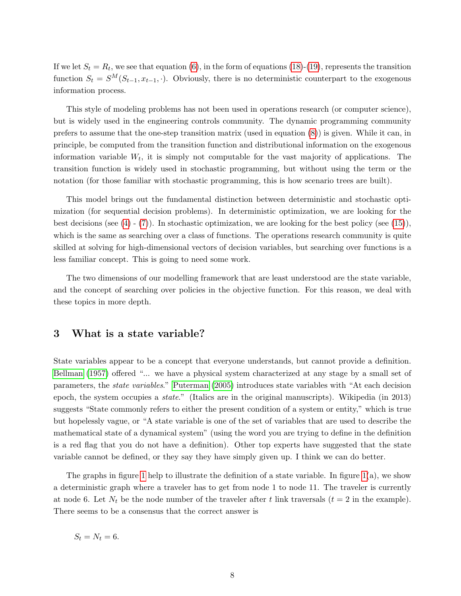If we let  $S_t = R_t$ , we see that equation [\(6\)](#page-3-4), in the form of equations [\(18\)](#page-9-1)-[\(19\)](#page-9-1), represents the transition function  $S_t = S^M(S_{t-1}, x_{t-1}, \cdot)$ . Obviously, there is no deterministic counterpart to the exogenous information process.

This style of modeling problems has not been used in operations research (or computer science), but is widely used in the engineering controls community. The dynamic programming community prefers to assume that the one-step transition matrix (used in equation [\(8\)](#page-5-2)) is given. While it can, in principle, be computed from the transition function and distributional information on the exogenous information variable  $W_t$ , it is simply not computable for the vast majority of applications. The transition function is widely used in stochastic programming, but without using the term or the notation (for those familiar with stochastic programming, this is how scenario trees are built).

This model brings out the fundamental distinction between deterministic and stochastic optimization (for sequential decision problems). In deterministic optimization, we are looking for the best decisions (see [\(4\)](#page-3-3) - [\(7\)](#page-3-4)). In stochastic optimization, we are looking for the best policy (see [\(15\)](#page-9-0)), which is the same as searching over a class of functions. The operations research community is quite skilled at solving for high-dimensional vectors of decision variables, but searching over functions is a less familiar concept. This is going to need some work.

The two dimensions of our modelling framework that are least understood are the state variable, and the concept of searching over policies in the objective function. For this reason, we deal with these topics in more depth.

## <span id="page-10-0"></span>3 What is a state variable?

State variables appear to be a concept that everyone understands, but cannot provide a definition. [Bellman](#page-32-1) [\(1957\)](#page-32-1) offered "... we have a physical system characterized at any stage by a small set of parameters, the state variables." [Puterman](#page-34-4) [\(2005\)](#page-34-4) introduces state variables with "At each decision epoch, the system occupies a state." (Italics are in the original manuscripts). Wikipedia (in 2013) suggests "State commonly refers to either the present condition of a system or entity," which is true but hopelessly vague, or "A state variable is one of the set of variables that are used to describe the mathematical state of a dynamical system" (using the word you are trying to define in the definition is a red flag that you do not have a definition). Other top experts have suggested that the state variable cannot be defined, or they say they have simply given up. I think we can do better.

The graphs in figure [1](#page-11-0) help to illustrate the definition of a state variable. In figure  $1(a)$ , we show a deterministic graph where a traveler has to get from node 1 to node 11. The traveler is currently at node 6. Let  $N_t$  be the node number of the traveler after t link traversals  $(t = 2$  in the example). There seems to be a consensus that the correct answer is

 $S_t = N_t = 6.$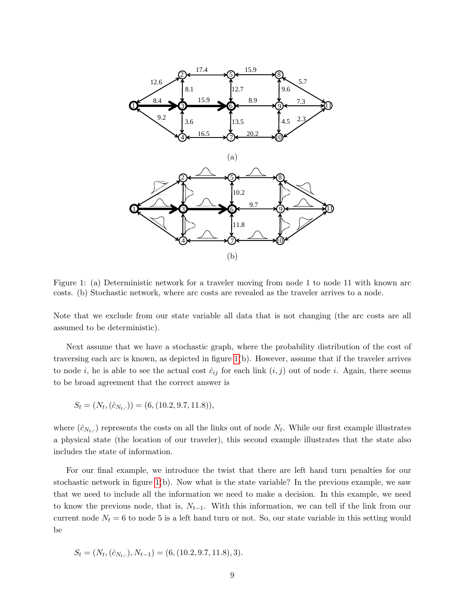

<span id="page-11-0"></span>Figure 1: (a) Deterministic network for a traveler moving from node 1 to node 11 with known arc costs. (b) Stochastic network, where arc costs are revealed as the traveler arrives to a node.

Note that we exclude from our state variable all data that is not changing (the arc costs are all assumed to be deterministic).

Next assume that we have a stochastic graph, where the probability distribution of the cost of traversing each arc is known, as depicted in figure [1\(](#page-11-0)b). However, assume that if the traveler arrives to node i, he is able to see the actual cost  $\hat{c}_{ij}$  for each link  $(i, j)$  out of node i. Again, there seems to be broad agreement that the correct answer is

$$
S_t = (N_t, (\hat{c}_{N_t, \cdot})) = (6, (10.2, 9.7, 11.8)),
$$

where  $(\hat{c}_{N_t, \cdot})$  represents the costs on all the links out of node  $N_t$ . While our first example illustrates a physical state (the location of our traveler), this second example illustrates that the state also includes the state of information.

For our final example, we introduce the twist that there are left hand turn penalties for our stochastic network in figure [1\(](#page-11-0)b). Now what is the state variable? In the previous example, we saw that we need to include all the information we need to make a decision. In this example, we need to know the previous node, that is,  $N_{t-1}$ . With this information, we can tell if the link from our current node  $N_t = 6$  to node 5 is a left hand turn or not. So, our state variable in this setting would be

$$
S_t = (N_t, (\hat{c}_{N_t, \cdot}), N_{t-1}) = (6, (10.2, 9.7, 11.8), 3).
$$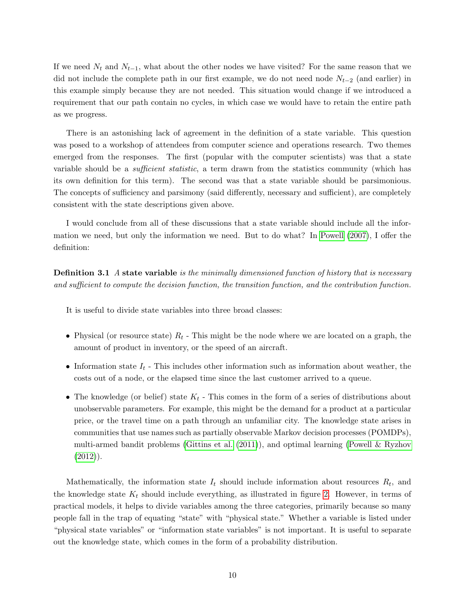If we need  $N_t$  and  $N_{t-1}$ , what about the other nodes we have visited? For the same reason that we did not include the complete path in our first example, we do not need node  $N_{t-2}$  (and earlier) in this example simply because they are not needed. This situation would change if we introduced a requirement that our path contain no cycles, in which case we would have to retain the entire path as we progress.

There is an astonishing lack of agreement in the definition of a state variable. This question was posed to a workshop of attendees from computer science and operations research. Two themes emerged from the responses. The first (popular with the computer scientists) was that a state variable should be a *sufficient statistic*, a term drawn from the statistics community (which has its own definition for this term). The second was that a state variable should be parsimonious. The concepts of sufficiency and parsimony (said differently, necessary and sufficient), are completely consistent with the state descriptions given above.

I would conclude from all of these discussions that a state variable should include all the information we need, but only the information we need. But to do what? In [Powell](#page-34-6) [\(2007\)](#page-34-6), I offer the definition:

**Definition 3.1** A state variable is the minimally dimensioned function of history that is necessary and sufficient to compute the decision function, the transition function, and the contribution function.

It is useful to divide state variables into three broad classes:

- Physical (or resource state)  $R_t$  This might be the node where we are located on a graph, the amount of product in inventory, or the speed of an aircraft.
- Information state  $I_t$  This includes other information such as information about weather, the costs out of a node, or the elapsed time since the last customer arrived to a queue.
- The knowledge (or belief) state  $K_t$  This comes in the form of a series of distributions about unobservable parameters. For example, this might be the demand for a product at a particular price, or the travel time on a path through an unfamiliar city. The knowledge state arises in communities that use names such as partially observable Markov decision processes (POMDPs), multi-armed bandit problems [\(Gittins et al.](#page-33-4) [\(2011\)](#page-33-4)), and optimal learning [\(Powell & Ryzhov](#page-34-7)  $(2012)$ .

Mathematically, the information state  $I_t$  should include information about resources  $R_t$ , and the knowledge state  $K_t$  should include everything, as illustrated in figure [2.](#page-13-0) However, in terms of practical models, it helps to divide variables among the three categories, primarily because so many people fall in the trap of equating "state" with "physical state." Whether a variable is listed under "physical state variables" or "information state variables" is not important. It is useful to separate out the knowledge state, which comes in the form of a probability distribution.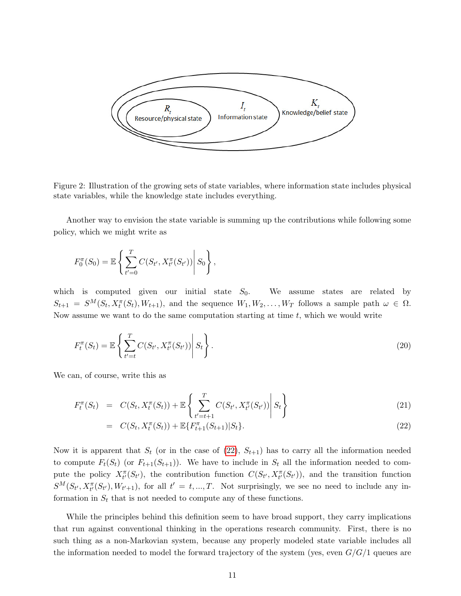

<span id="page-13-0"></span>Figure 2: Illustration of the growing sets of state variables, where information state includes physical state variables, while the knowledge state includes everything.

Another way to envision the state variable is summing up the contributions while following some policy, which we might write as

$$
F_0^{\pi}(S_0) = \mathbb{E}\left\{\sum_{t'=0}^T C(S_{t'}, X_{t'}^{\pi}(S_{t'})) \middle| S_0\right\},\,
$$

which is computed given our initial state  $S_0$ . We assume states are related by  $S_{t+1} = S^M(S_t, X_t^{\pi}(S_t), W_{t+1}),$  and the sequence  $W_1, W_2, \ldots, W_T$  follows a sample path  $\omega \in \Omega$ . Now assume we want to do the same computation starting at time  $t$ , which we would write

$$
F_t^{\pi}(S_t) = \mathbb{E}\left\{\sum_{t'=t}^T C(S_{t'}, X_{t'}^{\pi}(S_{t'})) \middle| S_t\right\}.
$$
\n(20)

We can, of course, write this as

<span id="page-13-1"></span>
$$
F_t^{\pi}(S_t) = C(S_t, X_t^{\pi}(S_t)) + \mathbb{E}\left\{\sum_{t'=t+1}^T C(S_{t'}, X_{t'}^{\pi}(S_{t'})) \middle| S_t\right\}
$$
\n(21)

$$
= C(S_t, X_t^{\pi}(S_t)) + \mathbb{E}\{F_{t+1}^{\pi}(S_{t+1})|S_t\}.
$$
\n(22)

Now it is apparent that  $S_t$  (or in the case of [\(22\)](#page-13-1),  $S_{t+1}$ ) has to carry all the information needed to compute  $F_t(S_t)$  (or  $F_{t+1}(S_{t+1})$ ). We have to include in  $S_t$  all the information needed to compute the policy  $X^{\pi}_{t'}(S_{t'})$ , the contribution function  $C(S_{t'}, X^{\pi}_{t'}(S_{t'}))$ , and the transition function  $S^M(S_{t'}, X_{t'}^{\pi}(S_{t'}), W_{t'+1}),$  for all  $t' = t, ..., T$ . Not surprisingly, we see no need to include any information in  $S_t$  that is not needed to compute any of these functions.

While the principles behind this definition seem to have broad support, they carry implications that run against conventional thinking in the operations research community. First, there is no such thing as a non-Markovian system, because any properly modeled state variable includes all the information needed to model the forward trajectory of the system (yes, even  $G/G/1$  queues are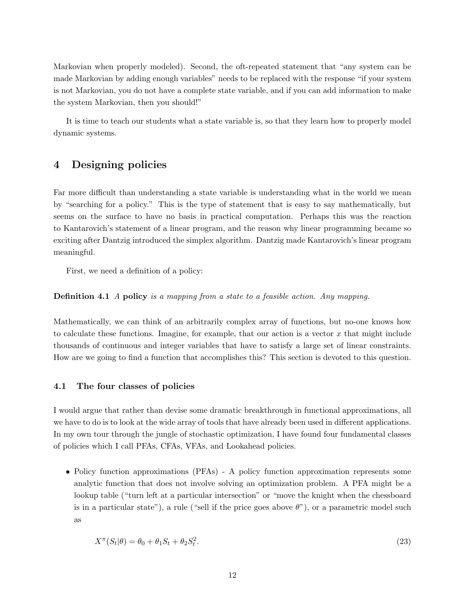Markovian when properly modeled). Second, the oft-repeated statement that "any system can be made Markovian by adding enough variables" needs to be replaced with the response "if your system is not Markovian, you do not have a complete state variable, and if you can add information to make the system Markovian, then you should!"

It is time to teach our students what a state variable is, so that they learn how to properly model dynamic systems.

## <span id="page-14-0"></span>4 Designing policies

Far more difficult than understanding a state variable is understanding what in the world we mean by "searching for a policy." This is the type of statement that is easy to say mathematically, but seems on the surface to have no basis in practical computation. Perhaps this was the reaction to Kantarovich's statement of a linear program, and the reason why linear programming became so exciting after Dantzig introduced the simplex algorithm. Dantzig made Kantarovich's linear program meaningful.

First, we need a definition of a policy:

Definition 4.1 A policy is a mapping from a state to a feasible action. Any mapping.

Mathematically, we can think of an arbitrarily complex array of functions, but no-one knows how to calculate these functions. Imagine, for example, that our action is a vector  $x$  that might include thousands of continuous and integer variables that have to satisfy a large set of linear constraints. How are we going to find a function that accomplishes this? This section is devoted to this question.

#### <span id="page-14-1"></span>4.1 The four classes of policies

I would argue that rather than devise some dramatic breakthrough in functional approximations, all we have to do is to look at the wide array of tools that have already been used in different applications. In my own tour through the jungle of stochastic optimization, I have found four fundamental classes of policies which I call PFAs, CFAs, VFAs, and Lookahead policies.

• Policy function approximations (PFAs) - A policy function approximation represents some analytic function that does not involve solving an optimization problem. A PFA might be a lookup table ("turn left at a particular intersection" or "move the knight when the chessboard is in a particular state"), a rule ("sell if the price goes above  $\theta$ "), or a parametric model such as

$$
X^{\pi}(S_t|\theta) = \theta_0 + \theta_1 S_t + \theta_2 S_t^2. \tag{23}
$$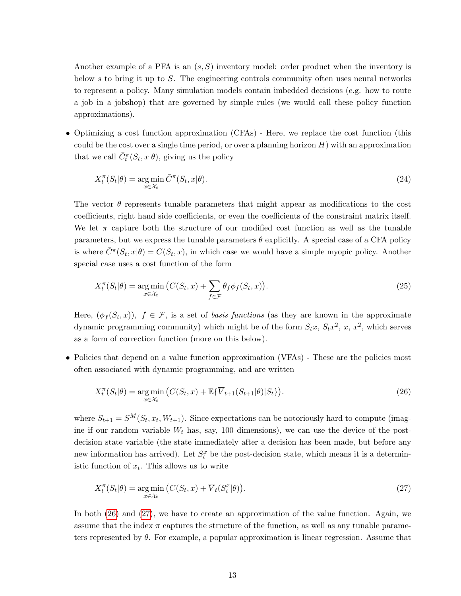Another example of a PFA is an  $(s, S)$  inventory model: order product when the inventory is below s to bring it up to S. The engineering controls community often uses neural networks to represent a policy. Many simulation models contain imbedded decisions (e.g. how to route a job in a jobshop) that are governed by simple rules (we would call these policy function approximations).

• Optimizing a cost function approximation (CFAs) - Here, we replace the cost function (this could be the cost over a single time period, or over a planning horizon  $H$ ) with an approximation that we call  $\bar{C}_t^{\pi}(S_t, x | \theta)$ , giving us the policy

$$
X_t^{\pi}(S_t|\theta) = \underset{x \in \mathcal{X}_t}{\arg \min} \bar{C}^{\pi}(S_t, x|\theta). \tag{24}
$$

The vector  $\theta$  represents tunable parameters that might appear as modifications to the cost coefficients, right hand side coefficients, or even the coefficients of the constraint matrix itself. We let  $\pi$  capture both the structure of our modified cost function as well as the tunable parameters, but we express the tunable parameters  $\theta$  explicitly. A special case of a CFA policy is where  $\overline{C}^{\pi}(S_t, x | \theta) = C(S_t, x)$ , in which case we would have a simple myopic policy. Another special case uses a cost function of the form

<span id="page-15-2"></span>
$$
X_t^{\pi}(S_t|\theta) = \underset{x \in \mathcal{X}_t}{\arg \min} \left( C(S_t, x) + \sum_{f \in \mathcal{F}} \theta_f \phi_f(S_t, x) \right). \tag{25}
$$

Here,  $(\phi_f(S_t, x))$ ,  $f \in \mathcal{F}$ , is a set of *basis functions* (as they are known in the approximate dynamic programming community) which might be of the form  $S_t x$ ,  $S_t x^2$ ,  $x$ ,  $x^2$ , which serves as a form of correction function (more on this below).

• Policies that depend on a value function approximation (VFAs) - These are the policies most often associated with dynamic programming, and are written

<span id="page-15-0"></span>
$$
X_t^{\pi}(S_t|\theta) = \underset{x \in \mathcal{X}_t}{\arg \min} \left( C(S_t, x) + \mathbb{E}\{\overline{V}_{t+1}(S_{t+1}|\theta)|S_t\} \right). \tag{26}
$$

where  $S_{t+1} = S^M(S_t, x_t, W_{t+1})$ . Since expectations can be notoriously hard to compute (imagine if our random variable  $W_t$  has, say, 100 dimensions), we can use the device of the postdecision state variable (the state immediately after a decision has been made, but before any new information has arrived). Let  $S_t^x$  be the post-decision state, which means it is a deterministic function of  $x_t$ . This allows us to write

<span id="page-15-1"></span>
$$
X_t^{\pi}(S_t|\theta) = \underset{x \in \mathcal{X}_t}{\arg \min} \left( C(S_t, x) + \overline{V}_t(S_t^x|\theta) \right). \tag{27}
$$

In both [\(26\)](#page-15-0) and [\(27\)](#page-15-1), we have to create an approximation of the value function. Again, we assume that the index  $\pi$  captures the structure of the function, as well as any tunable parameters represented by  $\theta$ . For example, a popular approximation is linear regression. Assume that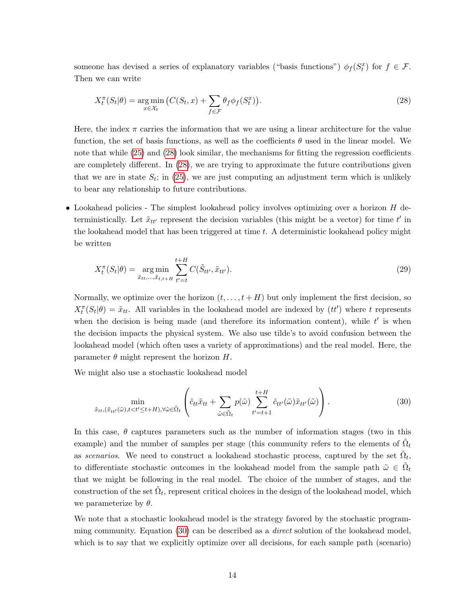someone has devised a series of explanatory variables ("basis functions")  $\phi_f(S_t^x)$  for  $f \in \mathcal{F}$ . Then we can write

<span id="page-16-0"></span>
$$
X_t^{\pi}(S_t|\theta) = \underset{x \in \mathcal{X}_t}{\arg \min} \left( C(S_t, x) + \sum_{f \in \mathcal{F}} \theta_f \phi_f(S_t^x) \right). \tag{28}
$$

Here, the index  $\pi$  carries the information that we are using a linear architecture for the value function, the set of basis functions, as well as the coefficients  $\theta$  used in the linear model. We note that while [\(25\)](#page-15-2) and [\(28\)](#page-16-0) look similar, the mechanisms for fitting the regression coefficients are completely different. In [\(28\)](#page-16-0), we are trying to approximate the future contributions given that we are in state  $S_t$ ; in [\(25\)](#page-15-2), we are just computing an adjustment term which is unlikely to bear any relationship to future contributions.

• Lookahead policies - The simplest lookahead policy involves optimizing over a horizon H deterministically. Let  $\tilde{x}_{tt'}$  represent the decision variables (this might be a vector) for time  $t'$  in the lookahead model that has been triggered at time t. A deterministic lookahead policy might be written

$$
X_t^{\pi}(S_t|\theta) = \underset{\tilde{x}_{tt},..., \tilde{x}_{t,t+H}}{\arg \min} \sum_{t'=t}^{t+H} C(\tilde{S}_{tt'}, \tilde{x}_{tt'}). \tag{29}
$$

Normally, we optimize over the horizon  $(t, \ldots, t + H)$  but only implement the first decision, so  $X_t^{\pi}(S_t|\theta) = \tilde{x}_{tt}$ . All variables in the lookahead model are indexed by  $(tt')$  where t represents when the decision is being made (and therefore its information content), while  $t'$  is when the decision impacts the physical system. We also use tilde's to avoid confusion between the lookahead model (which often uses a variety of approximations) and the real model. Here, the parameter  $\theta$  might represent the horizon H.

We might also use a stochastic lookahead model

<span id="page-16-1"></span>
$$
\min_{\tilde{x}_{tt},(\tilde{x}_{tt'}(\tilde{\omega}),t\n(30)
$$

In this case,  $\theta$  captures parameters such as the number of information stages (two in this example) and the number of samples per stage (this community refers to the elements of  $\tilde{\Omega}_t$ as scenarios. We need to construct a lookahead stochastic process, captured by the set  $\tilde{\Omega}_t$ , to differentiate stochastic outcomes in the lookahead model from the sample path  $\tilde{\omega} \in \tilde{\Omega}_t$ that we might be following in the real model. The choice of the number of stages, and the construction of the set  $\tilde{\Omega}_t$ , represent critical choices in the design of the lookahead model, which we parameterize by  $\theta$ .

We note that a stochastic lookahead model is the strategy favored by the stochastic programming community. Equation [\(30\)](#page-16-1) can be described as a direct solution of the lookahead model, which is to say that we explicitly optimize over all decisions, for each sample path (scenario)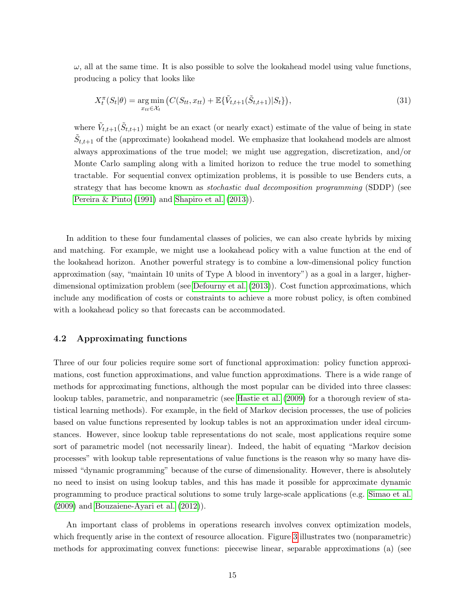$\omega$ , all at the same time. It is also possible to solve the lookahead model using value functions, producing a policy that looks like

<span id="page-17-1"></span>
$$
X_t^{\pi}(S_t|\theta) = \underset{x_{tt} \in \mathcal{X}_t}{\arg \min} \left( C(S_{tt}, x_{tt}) + \mathbb{E}\{\tilde{V}_{t,t+1}(\tilde{S}_{t,t+1})|S_t\} \right),\tag{31}
$$

where  $\tilde{V}_{t,t+1}(\tilde{S}_{t,t+1})$  might be an exact (or nearly exact) estimate of the value of being in state  $\tilde{S}_{t,t+1}$  of the (approximate) lookahead model. We emphasize that lookahead models are almost always approximations of the true model; we might use aggregation, discretization, and/or Monte Carlo sampling along with a limited horizon to reduce the true model to something tractable. For sequential convex optimization problems, it is possible to use Benders cuts, a strategy that has become known as stochastic dual decomposition programming (SDDP) (see [Pereira & Pinto](#page-34-8) [\(1991\)](#page-34-8) and [Shapiro et al.](#page-35-3) [\(2013\)](#page-35-3)).

In addition to these four fundamental classes of policies, we can also create hybrids by mixing and matching. For example, we might use a lookahead policy with a value function at the end of the lookahead horizon. Another powerful strategy is to combine a low-dimensional policy function approximation (say, "maintain 10 units of Type A blood in inventory") as a goal in a larger, higherdimensional optimization problem (see [Defourny et al.](#page-33-5) [\(2013\)](#page-33-5)). Cost function approximations, which include any modification of costs or constraints to achieve a more robust policy, is often combined with a lookahead policy so that forecasts can be accommodated.

#### <span id="page-17-0"></span>4.2 Approximating functions

Three of our four policies require some sort of functional approximation: policy function approximations, cost function approximations, and value function approximations. There is a wide range of methods for approximating functions, although the most popular can be divided into three classes: lookup tables, parametric, and nonparametric (see [Hastie et al.](#page-33-6) [\(2009\)](#page-33-6) for a thorough review of statistical learning methods). For example, in the field of Markov decision processes, the use of policies based on value functions represented by lookup tables is not an approximation under ideal circumstances. However, since lookup table representations do not scale, most applications require some sort of parametric model (not necessarily linear). Indeed, the habit of equating "Markov decision processes" with lookup table representations of value functions is the reason why so many have dismissed "dynamic programming" because of the curse of dimensionality. However, there is absolutely no need to insist on using lookup tables, and this has made it possible for approximate dynamic programming to produce practical solutions to some truly large-scale applications (e.g. [Simao et al.](#page-35-0) [\(2009\)](#page-35-0) and [Bouzaiene-Ayari et al.](#page-33-1) [\(2012\)](#page-33-1)).

An important class of problems in operations research involves convex optimization models, which frequently arise in the context of resource allocation. Figure [3](#page-18-1) illustrates two (nonparametric) methods for approximating convex functions: piecewise linear, separable approximations (a) (see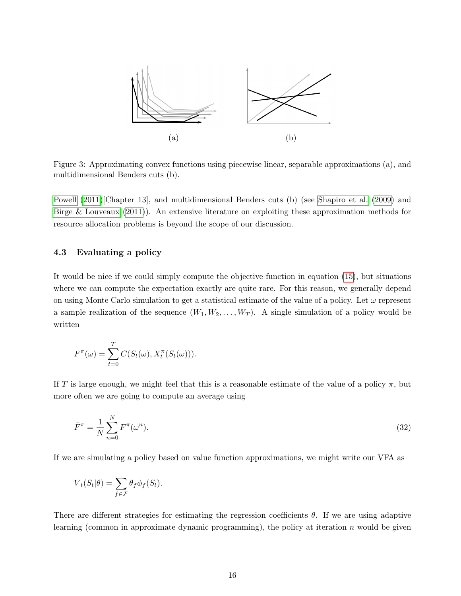

<span id="page-18-1"></span>Figure 3: Approximating convex functions using piecewise linear, separable approximations (a), and multidimensional Benders cuts (b).

[Powell](#page-34-5) [\(2011\)](#page-34-5)[Chapter 13], and multidimensional Benders cuts (b) (see [Shapiro et al.](#page-35-1) [\(2009\)](#page-35-1) and [Birge & Louveaux](#page-33-7) [\(2011\)](#page-33-7)). An extensive literature on exploiting these approximation methods for resource allocation problems is beyond the scope of our discussion.

#### <span id="page-18-0"></span>4.3 Evaluating a policy

It would be nice if we could simply compute the objective function in equation [\(15\)](#page-9-0), but situations where we can compute the expectation exactly are quite rare. For this reason, we generally depend on using Monte Carlo simulation to get a statistical estimate of the value of a policy. Let  $\omega$  represent a sample realization of the sequence  $(W_1, W_2, \ldots, W_T)$ . A single simulation of a policy would be written

$$
F^{\pi}(\omega) = \sum_{t=0}^{T} C(S_t(\omega), X_t^{\pi}(S_t(\omega))).
$$

If T is large enough, we might feel that this is a reasonable estimate of the value of a policy  $\pi$ , but more often we are going to compute an average using

$$
\bar{F}^{\pi} = \frac{1}{N} \sum_{n=0}^{N} F^{\pi}(\omega^n). \tag{32}
$$

If we are simulating a policy based on value function approximations, we might write our VFA as

$$
\overline{V}_t(S_t|\theta) = \sum_{f \in \mathcal{F}} \theta_f \phi_f(S_t).
$$

There are different strategies for estimating the regression coefficients  $\theta$ . If we are using adaptive learning (common in approximate dynamic programming), the policy at iteration  $n$  would be given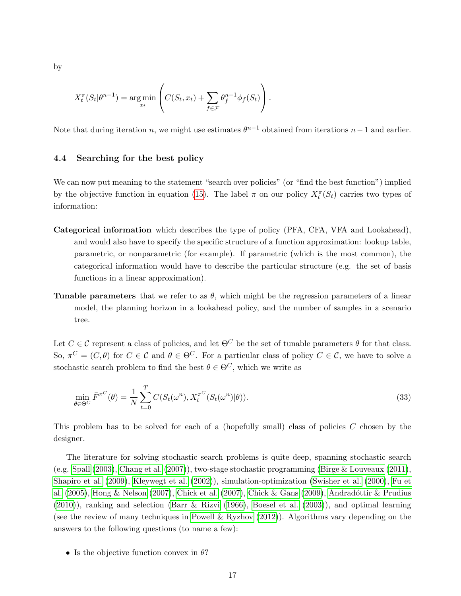by

$$
X_t^{\pi}(S_t|\theta^{n-1}) = \underset{x_t}{\arg\min} \left( C(S_t, x_t) + \sum_{f \in \mathcal{F}} \theta_f^{n-1} \phi_f(S_t) \right).
$$

Note that during iteration n, we might use estimates  $\theta^{n-1}$  obtained from iterations  $n-1$  and earlier.

#### <span id="page-19-0"></span>4.4 Searching for the best policy

We can now put meaning to the statement "search over policies" (or "find the best function") implied by the objective function in equation [\(15\)](#page-9-0). The label  $\pi$  on our policy  $X_t^{\pi}(S_t)$  carries two types of information:

- Categorical information which describes the type of policy (PFA, CFA, VFA and Lookahead), and would also have to specify the specific structure of a function approximation: lookup table, parametric, or nonparametric (for example). If parametric (which is the most common), the categorical information would have to describe the particular structure (e.g. the set of basis functions in a linear approximation).
- **Tunable parameters** that we refer to as  $\theta$ , which might be the regression parameters of a linear model, the planning horizon in a lookahead policy, and the number of samples in a scenario tree.

Let  $C \in \mathcal{C}$  represent a class of policies, and let  $\Theta^C$  be the set of tunable parameters  $\theta$  for that class. So,  $\pi^C = (C, \theta)$  for  $C \in \mathcal{C}$  and  $\theta \in \Theta^C$ . For a particular class of policy  $C \in \mathcal{C}$ , we have to solve a stochastic search problem to find the best  $\theta \in \Theta^C$ , which we write as

<span id="page-19-1"></span>
$$
\min_{\theta \in \Theta^C} \bar{F}^{\pi^C}(\theta) = \frac{1}{N} \sum_{t=0}^T C(S_t(\omega^n), X_t^{\pi^C}(S_t(\omega^n)|\theta)).
$$
\n(33)

This problem has to be solved for each of a (hopefully small) class of policies C chosen by the designer.

The literature for solving stochastic search problems is quite deep, spanning stochastic search (e.g. [Spall](#page-35-4) [\(2003\)](#page-35-4), [Chang et al.](#page-33-8) [\(2007\)](#page-33-8)), two-stage stochastic programming [\(Birge & Louveaux](#page-33-7) [\(2011\)](#page-33-7), [Shapiro et al.](#page-35-1) [\(2009\)](#page-35-1), [Kleywegt et al.](#page-34-9) [\(2002\)](#page-34-9)), simulation-optimization [\(Swisher et al.](#page-35-5) [\(2000\)](#page-35-5), [Fu et](#page-33-9) [al.](#page-33-9)  $(2005)$ , [Hong & Nelson](#page-33-10)  $(2007)$ , [Chick et al.](#page-33-11)  $(2007)$ , [Chick & Gans](#page-33-12)  $(2009)$ , Andradóttir & Prudius [\(2010\)](#page-32-3)), ranking and selection [\(Barr & Rizvi](#page-32-4) [\(1966\)](#page-32-4), [Boesel et al.](#page-33-13) [\(2003\)](#page-33-13)), and optimal learning (see the review of many techniques in [Powell & Ryzhov](#page-34-7) [\(2012\)](#page-34-7)). Algorithms vary depending on the answers to the following questions (to name a few):

• Is the objective function convex in  $\theta$ ?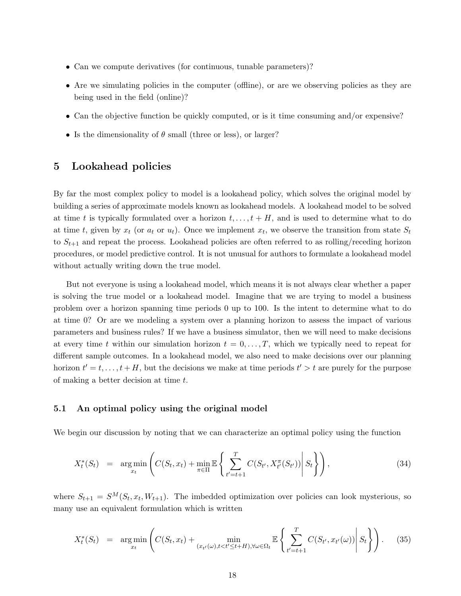- Can we compute derivatives (for continuous, tunable parameters)?
- Are we simulating policies in the computer (offline), or are we observing policies as they are being used in the field (online)?
- Can the objective function be quickly computed, or is it time consuming and/or expensive?
- Is the dimensionality of  $\theta$  small (three or less), or larger?

## <span id="page-20-0"></span>5 Lookahead policies

By far the most complex policy to model is a lookahead policy, which solves the original model by building a series of approximate models known as lookahead models. A lookahead model to be solved at time t is typically formulated over a horizon  $t, \ldots, t + H$ , and is used to determine what to do at time t, given by  $x_t$  (or  $a_t$  or  $u_t$ ). Once we implement  $x_t$ , we observe the transition from state  $S_t$ to  $S_{t+1}$  and repeat the process. Lookahead policies are often referred to as rolling/receding horizon procedures, or model predictive control. It is not unusual for authors to formulate a lookahead model without actually writing down the true model.

But not everyone is using a lookahead model, which means it is not always clear whether a paper is solving the true model or a lookahead model. Imagine that we are trying to model a business problem over a horizon spanning time periods 0 up to 100. Is the intent to determine what to do at time 0? Or are we modeling a system over a planning horizon to assess the impact of various parameters and business rules? If we have a business simulator, then we will need to make decisions at every time t within our simulation horizon  $t = 0, \ldots, T$ , which we typically need to repeat for different sample outcomes. In a lookahead model, we also need to make decisions over our planning horizon  $t' = t, \ldots, t + H$ , but the decisions we make at time periods  $t' > t$  are purely for the purpose of making a better decision at time t.

#### <span id="page-20-1"></span>5.1 An optimal policy using the original model

We begin our discussion by noting that we can characterize an optimal policy using the function

<span id="page-20-2"></span>
$$
X_t^*(S_t) = \arg\min_{x_t} \left( C(S_t, x_t) + \min_{\pi \in \Pi} \mathbb{E} \left\{ \sum_{t'=t+1}^T C(S_{t'}, X_{t'}^{\pi}(S_{t'})) \middle| S_t \right\} \right), \tag{34}
$$

where  $S_{t+1} = S^M(S_t, x_t, W_{t+1})$ . The imbedded optimization over policies can look mysterious, so many use an equivalent formulation which is written

<span id="page-20-3"></span>
$$
X_t^*(S_t) = \arg\min_{x_t} \left( C(S_t, x_t) + \min_{(x_{t'}(\omega), t < t' \le t + H), \forall \omega \in \Omega_t} \mathbb{E} \left\{ \sum_{t'=t+1}^T C(S_{t'}, x_{t'}(\omega)) \middle| S_t \right\} \right). \tag{35}
$$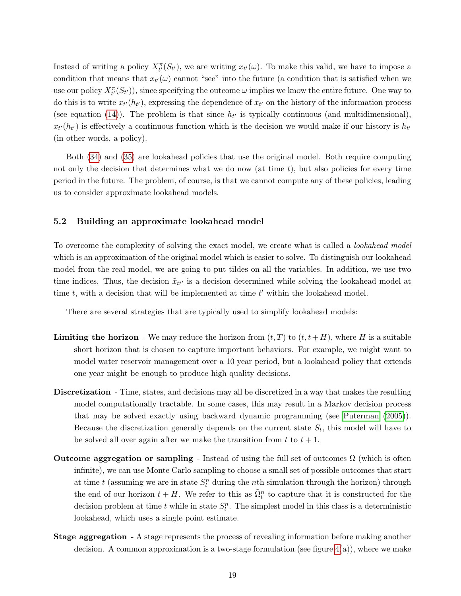Instead of writing a policy  $X_t^{\pi}(S_{t'})$ , we are writing  $x_{t'}(\omega)$ . To make this valid, we have to impose a condition that means that  $x_{t'}(\omega)$  cannot "see" into the future (a condition that is satisfied when we use our policy  $X^{\pi}_{t'}(S_{t'}))$ , since specifying the outcome  $\omega$  implies we know the entire future. One way to do this is to write  $x_{t'}(h_{t'})$ , expressing the dependence of  $x_{t'}$  on the history of the information process (see equation [\(14\)](#page-8-0)). The problem is that since  $h_{t'}$  is typically continuous (and multidimensional),  $x_{t'}(h_{t'})$  is effectively a continuous function which is the decision we would make if our history is  $h_{t'}$ (in other words, a policy).

Both [\(34\)](#page-20-2) and [\(35\)](#page-20-3) are lookahead policies that use the original model. Both require computing not only the decision that determines what we do now (at time  $t$ ), but also policies for every time period in the future. The problem, of course, is that we cannot compute any of these policies, leading us to consider approximate lookahead models.

#### <span id="page-21-0"></span>5.2 Building an approximate lookahead model

To overcome the complexity of solving the exact model, we create what is called a lookahead model which is an approximation of the original model which is easier to solve. To distinguish our lookahead model from the real model, we are going to put tildes on all the variables. In addition, we use two time indices. Thus, the decision  $\tilde{x}_{tt'}$  is a decision determined while solving the lookahead model at time  $t$ , with a decision that will be implemented at time  $t'$  within the lookahead model.

There are several strategies that are typically used to simplify lookahead models:

- **Limiting the horizon** We may reduce the horizon from  $(t, T)$  to  $(t, t + H)$ , where H is a suitable short horizon that is chosen to capture important behaviors. For example, we might want to model water reservoir management over a 10 year period, but a lookahead policy that extends one year might be enough to produce high quality decisions.
- Discretization Time, states, and decisions may all be discretized in a way that makes the resulting model computationally tractable. In some cases, this may result in a Markov decision process that may be solved exactly using backward dynamic programming (see [Puterman](#page-34-4) [\(2005\)](#page-34-4)). Because the discretization generally depends on the current state  $S_t$ , this model will have to be solved all over again after we make the transition from  $t$  to  $t + 1$ .
- Outcome aggregation or sampling Instead of using the full set of outcomes  $\Omega$  (which is often infinite), we can use Monte Carlo sampling to choose a small set of possible outcomes that start at time t (assuming we are in state  $S_t^n$  during the nth simulation through the horizon) through the end of our horizon  $t + H$ . We refer to this as  $\tilde{\Omega}_t^n$  to capture that it is constructed for the decision problem at time t while in state  $S_t^n$ . The simplest model in this class is a deterministic lookahead, which uses a single point estimate.
- Stage aggregation A stage represents the process of revealing information before making another decision. A common approximation is a two-stage formulation (see figure  $4(a)$ ), where we make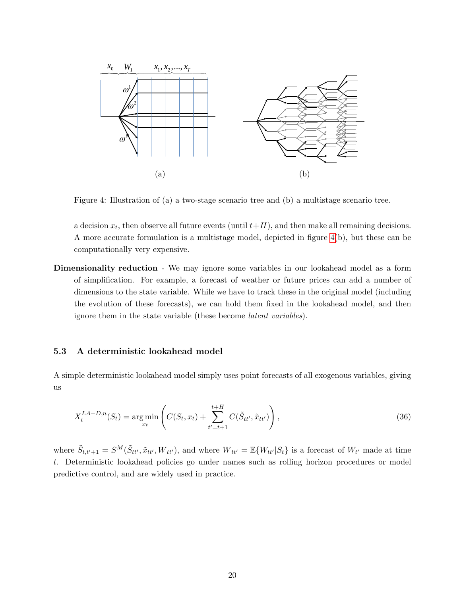

<span id="page-22-1"></span>Figure 4: Illustration of (a) a two-stage scenario tree and (b) a multistage scenario tree.

a decision  $x_t$ , then observe all future events (until  $t+H$ ), and then make all remaining decisions. A more accurate formulation is a multistage model, depicted in figure [4\(](#page-22-1)b), but these can be computationally very expensive.

Dimensionality reduction - We may ignore some variables in our lookahead model as a form of simplification. For example, a forecast of weather or future prices can add a number of dimensions to the state variable. While we have to track these in the original model (including the evolution of these forecasts), we can hold them fixed in the lookahead model, and then ignore them in the state variable (these become latent variables).

#### <span id="page-22-0"></span>5.3 A deterministic lookahead model

A simple deterministic lookahead model simply uses point forecasts of all exogenous variables, giving us

$$
X_t^{LA-D,n}(S_t) = \underset{x_t}{\arg\min} \left( C(S_t, x_t) + \sum_{t'=t+1}^{t+H} C(\tilde{S}_{tt'}, \tilde{x}_{tt'}) \right), \tag{36}
$$

where  $\tilde{S}_{t,t'+1} = S^M(\tilde{S}_{tt'}, \tilde{x}_{tt'}, \overline{W}_{tt'})$ , and where  $\overline{W}_{tt'} = \mathbb{E}\{W_{tt'}|S_t\}$  is a forecast of  $W_{t'}$  made at time t. Deterministic lookahead policies go under names such as rolling horizon procedures or model predictive control, and are widely used in practice.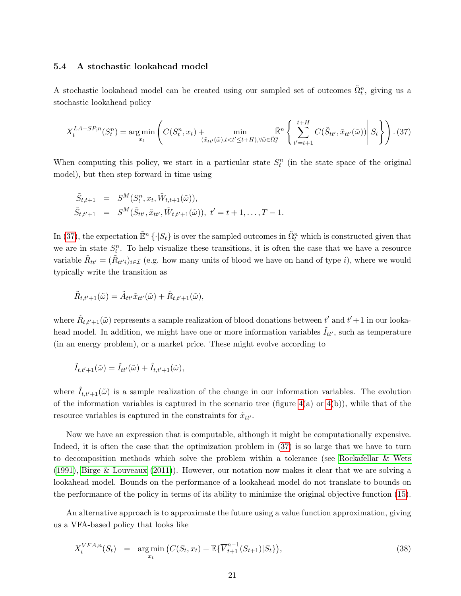#### <span id="page-23-0"></span>5.4 A stochastic lookahead model

A stochastic lookahead model can be created using our sampled set of outcomes  $\tilde{\Omega}_t^n$ , giving us a stochastic lookahead policy

<span id="page-23-1"></span>
$$
X_t^{LA-SP,n}(S_t^n) = \underset{x_t}{\arg\min} \left( C(S_t^n, x_t) + \underset{(\tilde{x}_{tt'}(\tilde{\omega}), t < t' \le t + H), \forall \tilde{\omega} \in \tilde{\Omega}_t^n}{\min} \left\{ \sum_{t'=t+1}^{t+H} C(\tilde{S}_{tt'}, \tilde{x}_{tt'}(\tilde{\omega})) \middle| S_t \right\} \right). (37)
$$

When computing this policy, we start in a particular state  $S_t^n$  (in the state space of the original model), but then step forward in time using

$$
\tilde{S}_{t,t+1} = S^M(S_t^n, x_t, \tilde{W}_{t,t+1}(\tilde{\omega})), \n\tilde{S}_{t,t'+1} = S^M(\tilde{S}_{tt'}, \tilde{x}_{tt'}, \tilde{W}_{t,t'+1}(\tilde{\omega})), t' = t+1, \dots, T-1.
$$

In [\(37\)](#page-23-1), the expectation  $\mathbb{E}^n \{\cdot | S_t\}$  is over the sampled outcomes in  $\tilde{\Omega}_t^n$  which is constructed given that we are in state  $S_t^n$ . To help visualize these transitions, it is often the case that we have a resource variable  $\tilde{R}_{tt'} = (\tilde{R}_{tt'}_i)_{i \in \mathcal{I}}$  (e.g. how many units of blood we have on hand of type *i*), where we would typically write the transition as

$$
\tilde{R}_{t,t'+1}(\tilde{\omega}) = \tilde{A}_{tt'} \tilde{x}_{tt'}(\tilde{\omega}) + \hat{R}_{t,t'+1}(\tilde{\omega}),
$$

where  $\hat{R}_{t,t'+1}(\tilde{\omega})$  represents a sample realization of blood donations between  $t'$  and  $t'+1$  in our lookahead model. In addition, we might have one or more information variables  $\tilde{I}_{tt}$ , such as temperature (in an energy problem), or a market price. These might evolve according to

$$
\tilde{I}_{t,t'+1}(\tilde{\omega}) = \tilde{I}_{tt'}(\tilde{\omega}) + \hat{I}_{t,t'+1}(\tilde{\omega}),
$$

where  $\hat{I}_{t,t'+1}(\tilde{\omega})$  is a sample realization of the change in our information variables. The evolution of the information variables is captured in the scenario tree (figure  $4(a)$  or  $4(b)$ ), while that of the resource variables is captured in the constraints for  $\tilde{x}_{tt'}$ .

Now we have an expression that is computable, although it might be computationally expensive. Indeed, it is often the case that the optimization problem in [\(37\)](#page-23-1) is so large that we have to turn to decomposition methods which solve the problem within a tolerance (see [Rockafellar & Wets](#page-34-10) [\(1991\)](#page-34-10), [Birge & Louveaux](#page-33-7) [\(2011\)](#page-33-7)). However, our notation now makes it clear that we are solving a lookahead model. Bounds on the performance of a lookahead model do not translate to bounds on the performance of the policy in terms of its ability to minimize the original objective function [\(15\)](#page-9-0).

An alternative approach is to approximate the future using a value function approximation, giving us a VFA-based policy that looks like

<span id="page-23-2"></span>
$$
X_t^{VFA,n}(S_t) = \underset{x_t}{\arg\min} \left( C(S_t, x_t) + \mathbb{E}\{\overline{V}_{t+1}^{n-1}(S_{t+1})|S_t\} \right),\tag{38}
$$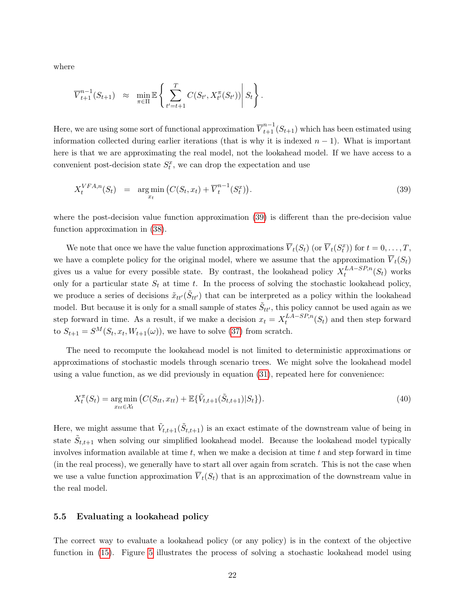where

$$
\overline{V}_{t+1}^{n-1}(S_{t+1}) \approx \min_{\pi \in \Pi} \mathbb{E} \left\{ \sum_{t'=t+1}^{T} C(S_{t'}, X_{t'}^{\pi}(S_{t'})) \middle| S_t \right\}.
$$

Here, we are using some sort of functional approximation  $\overline{V}_{t+1}^{n-1}(S_{t+1})$  which has been estimated using information collected during earlier iterations (that is why it is indexed  $n - 1$ ). What is important here is that we are approximating the real model, not the lookahead model. If we have access to a convenient post-decision state  $S_t^x$ , we can drop the expectation and use

<span id="page-24-1"></span>
$$
X_t^{VFA,n}(S_t) = \underset{x_t}{\arg\min} \left( C(S_t, x_t) + \overline{V}_t^{n-1}(S_t^x) \right). \tag{39}
$$

where the post-decision value function approximation [\(39\)](#page-24-1) is different than the pre-decision value function approximation in [\(38\)](#page-23-2).

We note that once we have the value function approximations  $\overline{V}_t(S_t)$  (or  $\overline{V}_t(S_t^x)$ ) for  $t = 0, \ldots, T$ , we have a complete policy for the original model, where we assume that the approximation  $\overline{V}_t(S_t)$ gives us a value for every possible state. By contrast, the lookahead policy  $X_t^{LA-SP,n}$  $t^{LA-SP,n}(S_t)$  works only for a particular state  $S_t$  at time t. In the process of solving the stochastic lookahead policy, we produce a series of decisions  $\tilde{x}_{tt'}(\tilde{S}_{tt'})$  that can be interpreted as a policy within the lookahead model. But because it is only for a small sample of states  $\tilde{S}_{tt'}$ , this policy cannot be used again as we step forward in time. As a result, if we make a decision  $x_t = X_t^{LA-SP,n}$  $t_t^{LA-SP,n}(S_t)$  and then step forward to  $S_{t+1} = S^M(S_t, x_t, W_{t+1}(\omega))$ , we have to solve [\(37\)](#page-23-1) from scratch.

The need to recompute the lookahead model is not limited to deterministic approximations or approximations of stochastic models through scenario trees. We might solve the lookahead model using a value function, as we did previously in equation [\(31\)](#page-17-1), repeated here for convenience:

$$
X_t^{\pi}(S_t) = \underset{x_{tt} \in \mathcal{X}_t}{\arg \min} \left( C(S_{tt}, x_{tt}) + \mathbb{E}\{\tilde{V}_{t,t+1}(\tilde{S}_{t,t+1}) | S_t\} \right). \tag{40}
$$

Here, we might assume that  $\tilde{V}_{t,t+1}(\tilde{S}_{t,t+1})$  is an exact estimate of the downstream value of being in state  $\tilde{S}_{t,t+1}$  when solving our simplified lookahead model. Because the lookahead model typically involves information available at time t, when we make a decision at time t and step forward in time (in the real process), we generally have to start all over again from scratch. This is not the case when we use a value function approximation  $\overline{V}_t(S_t)$  that is an approximation of the downstream value in the real model.

#### <span id="page-24-0"></span>5.5 Evaluating a lookahead policy

The correct way to evaluate a lookahead policy (or any policy) is in the context of the objective function in [\(15\)](#page-9-0). Figure [5](#page-25-1) illustrates the process of solving a stochastic lookahead model using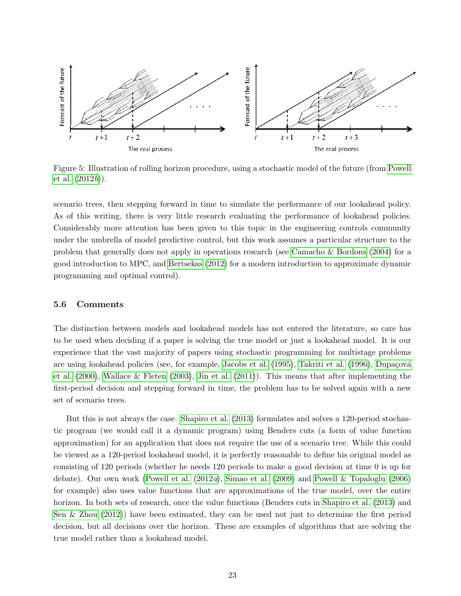

<span id="page-25-1"></span>Figure 5: Illustration of rolling horizon procedure, using a stochastic model of the future (from [Powell](#page-34-2) [et al.](#page-34-2)  $(2012b)$  $(2012b)$ .

scenario trees, then stepping forward in time to simulate the performance of our lookahead policy. As of this writing, there is very little research evaluating the performance of lookahead policies. Considerably more attention has been given to this topic in the engineering controls community under the umbrella of model predictive control, but this work assumes a particular structure to the problem that generally does not apply in operations research (see [Camacho & Bordons](#page-33-14) [\(2004\)](#page-33-14) for a good introduction to MPC, and [Bertsekas](#page-33-15) [\(2012\)](#page-33-15) for a modern introduction to approximate dynamic programming and optimal control).

#### <span id="page-25-0"></span>5.6 Comments

The distinction between models and lookahead models has not entered the literature, so care has to be used when deciding if a paper is solving the true model or just a lookahead model. It is our experience that the vast majority of papers using stochastic programming for multistage problems are using lookahead policies (see, for example, [Jacobs et al.](#page-34-11) [\(1995\)](#page-34-11), [Takriti et al.](#page-35-6) [\(1996\)](#page-35-6), Dupaçová [et al.](#page-33-16) [\(2000\)](#page-33-16), [Wallace & Fleten](#page-35-7) [\(2003\)](#page-35-7), [Jin et al.](#page-34-12) [\(2011\)](#page-34-12)). This means that after implementing the first-period decision and stepping forward in time, the problem has to be solved again with a new set of scenario trees.

But this is not always the case. [Shapiro et al.](#page-35-3) [\(2013\)](#page-35-3) formulates and solves a 120-period stochastic program (we would call it a dynamic program) using Benders cuts (a form of value function approximation) for an application that does not require the use of a scenario tree. While this could be viewed as a 120-period lookahead model, it is perfectly reasonable to define his original model as consisting of 120 periods (whether he needs 120 periods to make a good decision at time 0 is up for debate). Our own work [\(Powell et al.](#page-34-3) [\(2012](#page-34-3)a), [Simao et al.](#page-35-0) [\(2009\)](#page-35-0) and [Powell & Topaloglu](#page-34-13) [\(2006\)](#page-34-13) for example) also uses value functions that are approximations of the true model, over the entire horizon. In both sets of research, once the value functions (Benders cuts in [Shapiro et al.](#page-35-3) [\(2013\)](#page-35-3) and [Sen & Zhou](#page-35-8) [\(2012\)](#page-35-8)) have been estimated, they can be used not just to determine the first period decision, but all decisions over the horizon. These are examples of algorithms that are solving the true model rather than a lookahead model.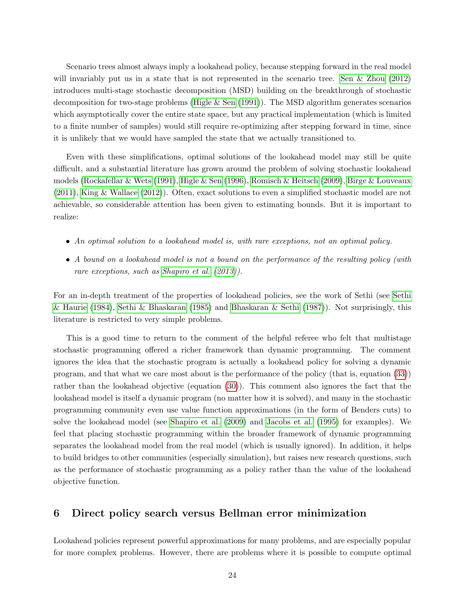Scenario trees almost always imply a lookahead policy, because stepping forward in the real model will invariably put us in a state that is not represented in the scenario tree. [Sen & Zhou](#page-35-8) [\(2012\)](#page-35-8) introduces multi-stage stochastic decomposition (MSD) building on the breakthrough of stochastic decomposition for two-stage problems [\(Higle & Sen](#page-33-17) [\(1991\)](#page-33-17)). The MSD algorithm generates scenarios which asymptotically cover the entire state space, but any practical implementation (which is limited to a finite number of samples) would still require re-optimizing after stepping forward in time, since it is unlikely that we would have sampled the state that we actually transitioned to.

Even with these simplifications, optimal solutions of the lookahead model may still be quite difficult, and a substantial literature has grown around the problem of solving stochastic lookahead models [\(Rockafellar & Wets](#page-34-10) [\(1991\)](#page-34-10), [Higle & Sen](#page-33-18) [\(1996\)](#page-33-18), [Romisch & Heitsch](#page-34-14) [\(2009\)](#page-34-14), [Birge & Louveaux](#page-33-7) [\(2011\)](#page-33-7), [King & Wallace](#page-34-15) [\(2012\)](#page-34-15)). Often, exact solutions to even a simplified stochastic model are not achievable, so considerable attention has been given to estimating bounds. But it is important to realize:

- An optimal solution to a lookahead model is, with rare exceptions, not an optimal policy.
- A bound on a lookahead model is not a bound on the performance of the resulting policy (with rare exceptions, such as [Shapiro et al.](#page-35-3) [\(2013\)](#page-35-3)).

For an in-depth treatment of the properties of lookahead policies, see the work of Sethi (see [Sethi](#page-35-9) [& Haurie](#page-35-9) [\(1984\)](#page-35-9), [Sethi & Bhaskaran](#page-35-10) [\(1985\)](#page-35-10) and [Bhaskaran & Sethi](#page-33-19) [\(1987\)](#page-33-19)). Not surprisingly, this literature is restricted to very simple problems.

This is a good time to return to the comment of the helpful referee who felt that multistage stochastic programming offered a richer framework than dynamic programming. The comment ignores the idea that the stochastic program is actually a lookahead policy for solving a dynamic program, and that what we care most about is the performance of the policy (that is, equation [\(33\)](#page-19-1)) rather than the lookahead objective (equation [\(30\)](#page-16-1)). This comment also ignores the fact that the lookahead model is itself a dynamic program (no matter how it is solved), and many in the stochastic programming community even use value function approximations (in the form of Benders cuts) to solve the lookahead model (see [Shapiro et al.](#page-35-1) [\(2009\)](#page-35-1) and [Jacobs et al.](#page-34-11) [\(1995\)](#page-34-11) for examples). We feel that placing stochastic programming within the broader framework of dynamic programming separates the lookahead model from the real model (which is usually ignored). In addition, it helps to build bridges to other communities (especially simulation), but raises new research questions, such as the performance of stochastic programming as a policy rather than the value of the lookahead objective function.

## <span id="page-26-0"></span>6 Direct policy search versus Bellman error minimization

Lookahead policies represent powerful approximations for many problems, and are especially popular for more complex problems. However, there are problems where it is possible to compute optimal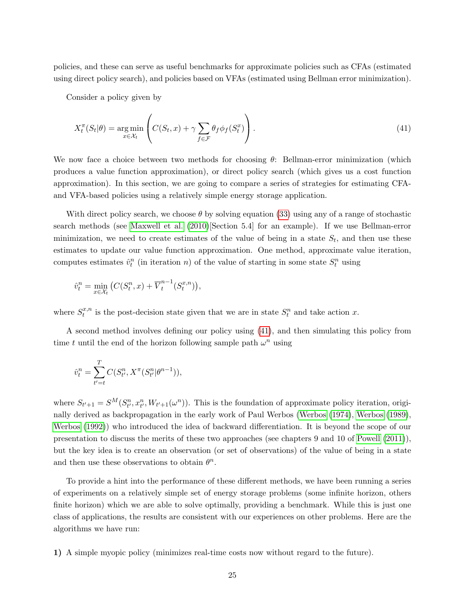policies, and these can serve as useful benchmarks for approximate policies such as CFAs (estimated using direct policy search), and policies based on VFAs (estimated using Bellman error minimization).

Consider a policy given by

<span id="page-27-0"></span>
$$
X_t^{\pi}(S_t|\theta) = \underset{x \in \mathcal{X}_t}{\arg \min} \left( C(S_t, x) + \gamma \sum_{f \in \mathcal{F}} \theta_f \phi_f(S_t^x) \right). \tag{41}
$$

We now face a choice between two methods for choosing  $\theta$ : Bellman-error minimization (which produces a value function approximation), or direct policy search (which gives us a cost function approximation). In this section, we are going to compare a series of strategies for estimating CFAand VFA-based policies using a relatively simple energy storage application.

With direct policy search, we choose  $\theta$  by solving equation [\(33\)](#page-19-1) using any of a range of stochastic search methods (see [Maxwell et al.](#page-34-16) [\(2010\)](#page-34-16)[Section 5.4] for an example). If we use Bellman-error minimization, we need to create estimates of the value of being in a state  $S_t$ , and then use these estimates to update our value function approximation. One method, approximate value iteration, computes estimates  $\hat{v}_t^n$  (in iteration n) of the value of starting in some state  $S_t^n$  using

$$
\hat{v}_t^n = \min_{x \in \mathcal{X}_t} \left( C(S_t^n, x) + \overline{V}_t^{n-1}(S_t^{x,n}) \right),
$$

where  $S_t^{x,n}$  $t^{x,n}_t$  is the post-decision state given that we are in state  $S_t^n$  and take action x.

A second method involves defining our policy using [\(41\)](#page-27-0), and then simulating this policy from time t until the end of the horizon following sample path  $\omega^n$  using

$$
\hat{v}_t^n = \sum_{t'=t}^T C(S_{t'}^n,X^\pi(S_{t'}^n|\theta^{n-1})),
$$

where  $S_{t'+1} = S^M(S_{t'}^n, x_{t'}^n, W_{t'+1}(\omega^n))$ . This is the foundation of approximate policy iteration, originally derived as backpropagation in the early work of Paul Werbos [\(Werbos](#page-35-11) [\(1974\)](#page-35-11), [Werbos](#page-35-12) [\(1989\)](#page-35-12), [Werbos](#page-35-13) [\(1992\)](#page-35-13)) who introduced the idea of backward differentiation. It is beyond the scope of our presentation to discuss the merits of these two approaches (see chapters 9 and 10 of [Powell](#page-34-5) [\(2011\)](#page-34-5)), but the key idea is to create an observation (or set of observations) of the value of being in a state and then use these observations to obtain  $\theta^n$ .

To provide a hint into the performance of these different methods, we have been running a series of experiments on a relatively simple set of energy storage problems (some infinite horizon, others finite horizon) which we are able to solve optimally, providing a benchmark. While this is just one class of applications, the results are consistent with our experiences on other problems. Here are the algorithms we have run:

1) A simple myopic policy (minimizes real-time costs now without regard to the future).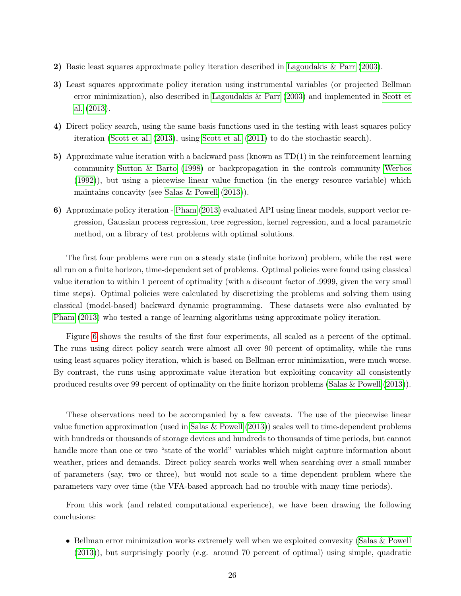- 2) Basic least squares approximate policy iteration described in [Lagoudakis & Parr](#page-34-17) [\(2003\)](#page-34-17).
- 3) Least squares approximate policy iteration using instrumental variables (or projected Bellman error minimization), also described in [Lagoudakis & Parr](#page-34-17) [\(2003\)](#page-34-17) and implemented in [Scott et](#page-35-14) [al.](#page-35-14) [\(2013\)](#page-35-14).
- 4) Direct policy search, using the same basis functions used in the testing with least squares policy iteration [\(Scott et al.](#page-35-14) [\(2013\)](#page-35-14), using [Scott et al.](#page-35-15) [\(2011\)](#page-35-15) to do the stochastic search).
- 5) Approximate value iteration with a backward pass (known as TD(1) in the reinforcement learning community [Sutton & Barto](#page-35-16) [\(1998\)](#page-35-16) or backpropagation in the controls community [Werbos](#page-35-13) [\(1992\)](#page-35-13)), but using a piecewise linear value function (in the energy resource variable) which maintains concavity (see [Salas & Powell](#page-35-17) [\(2013\)](#page-35-17)).
- 6) Approximate policy iteration - [Pham](#page-34-18) [\(2013\)](#page-34-18) evaluated API using linear models, support vector regression, Gaussian process regression, tree regression, kernel regression, and a local parametric method, on a library of test problems with optimal solutions.

The first four problems were run on a steady state (infinite horizon) problem, while the rest were all run on a finite horizon, time-dependent set of problems. Optimal policies were found using classical value iteration to within 1 percent of optimality (with a discount factor of .9999, given the very small time steps). Optimal policies were calculated by discretizing the problems and solving them using classical (model-based) backward dynamic programming. These datasets were also evaluated by [Pham](#page-34-18) [\(2013\)](#page-34-18) who tested a range of learning algorithms using approximate policy iteration.

Figure [6](#page-29-0) shows the results of the first four experiments, all scaled as a percent of the optimal. The runs using direct policy search were almost all over 90 percent of optimality, while the runs using least squares policy iteration, which is based on Bellman error minimization, were much worse. By contrast, the runs using approximate value iteration but exploiting concavity all consistently produced results over 99 percent of optimality on the finite horizon problems [\(Salas & Powell](#page-35-17) [\(2013\)](#page-35-17)).

These observations need to be accompanied by a few caveats. The use of the piecewise linear value function approximation (used in [Salas & Powell](#page-35-17) [\(2013\)](#page-35-17)) scales well to time-dependent problems with hundreds or thousands of storage devices and hundreds to thousands of time periods, but cannot handle more than one or two "state of the world" variables which might capture information about weather, prices and demands. Direct policy search works well when searching over a small number of parameters (say, two or three), but would not scale to a time dependent problem where the parameters vary over time (the VFA-based approach had no trouble with many time periods).

From this work (and related computational experience), we have been drawing the following conclusions:

• Bellman error minimization works extremely well when we exploited convexity [\(Salas & Powell](#page-35-17) [\(2013\)](#page-35-17)), but surprisingly poorly (e.g. around 70 percent of optimal) using simple, quadratic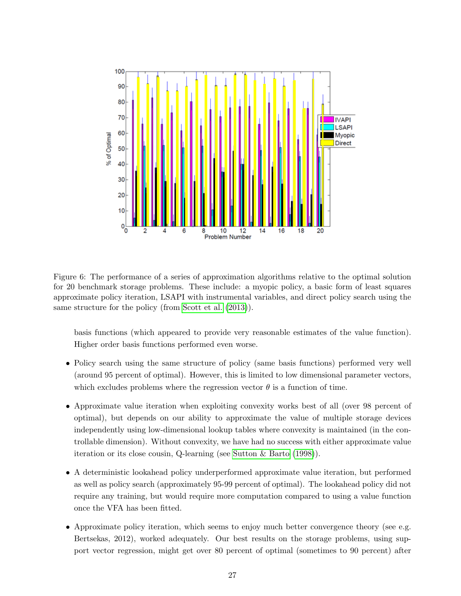

<span id="page-29-0"></span>Figure 6: The performance of a series of approximation algorithms relative to the optimal solution for 20 benchmark storage problems. These include: a myopic policy, a basic form of least squares approximate policy iteration, LSAPI with instrumental variables, and direct policy search using the same structure for the policy (from [Scott et al.](#page-35-14)  $(2013)$ ).

basis functions (which appeared to provide very reasonable estimates of the value function). Higher order basis functions performed even worse.

- Policy search using the same structure of policy (same basis functions) performed very well (around 95 percent of optimal). However, this is limited to low dimensional parameter vectors, which excludes problems where the regression vector  $\theta$  is a function of time.
- Approximate value iteration when exploiting convexity works best of all (over 98 percent of optimal), but depends on our ability to approximate the value of multiple storage devices independently using low-dimensional lookup tables where convexity is maintained (in the controllable dimension). Without convexity, we have had no success with either approximate value iteration or its close cousin, Q-learning (see [Sutton & Barto](#page-35-16) [\(1998\)](#page-35-16)).
- A deterministic lookahead policy underperformed approximate value iteration, but performed as well as policy search (approximately 95-99 percent of optimal). The lookahead policy did not require any training, but would require more computation compared to using a value function once the VFA has been fitted.
- Approximate policy iteration, which seems to enjoy much better convergence theory (see e.g. Bertsekas, 2012), worked adequately. Our best results on the storage problems, using support vector regression, might get over 80 percent of optimal (sometimes to 90 percent) after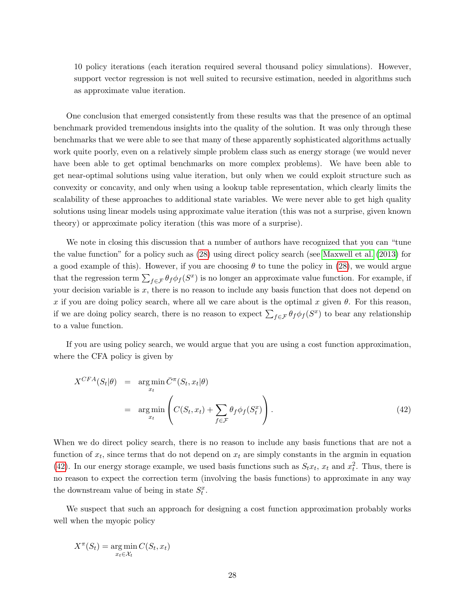10 policy iterations (each iteration required several thousand policy simulations). However, support vector regression is not well suited to recursive estimation, needed in algorithms such as approximate value iteration.

One conclusion that emerged consistently from these results was that the presence of an optimal benchmark provided tremendous insights into the quality of the solution. It was only through these benchmarks that we were able to see that many of these apparently sophisticated algorithms actually work quite poorly, even on a relatively simple problem class such as energy storage (we would never have been able to get optimal benchmarks on more complex problems). We have been able to get near-optimal solutions using value iteration, but only when we could exploit structure such as convexity or concavity, and only when using a lookup table representation, which clearly limits the scalability of these approaches to additional state variables. We were never able to get high quality solutions using linear models using approximate value iteration (this was not a surprise, given known theory) or approximate policy iteration (this was more of a surprise).

We note in closing this discussion that a number of authors have recognized that you can "tune the value function" for a policy such as [\(28\)](#page-16-0) using direct policy search (see [Maxwell et al.](#page-34-19) [\(2013\)](#page-34-19) for a good example of this). However, if you are choosing  $\theta$  to tune the policy in [\(28\)](#page-16-0), we would argue that the regression term  $\sum_{f \in \mathcal{F}} \theta_f \phi_f(S^x)$  is no longer an approximate value function. For example, if your decision variable is  $x$ , there is no reason to include any basis function that does not depend on x if you are doing policy search, where all we care about is the optimal x given  $\theta$ . For this reason, if we are doing policy search, there is no reason to expect  $\sum_{f \in \mathcal{F}} \theta_f \phi_f(S^x)$  to bear any relationship to a value function.

If you are using policy search, we would argue that you are using a cost function approximation, where the CFA policy is given by

<span id="page-30-0"></span>
$$
X^{CFA}(S_t|\theta) = \underset{x_t}{\arg\min} \bar{C}^{\pi}(S_t, x_t|\theta)
$$
  
= 
$$
\underset{x_t}{\arg\min} \left( C(S_t, x_t) + \sum_{f \in \mathcal{F}} \theta_f \phi_f(S_t^x) \right).
$$
 (42)

When we do direct policy search, there is no reason to include any basis functions that are not a function of  $x_t$ , since terms that do not depend on  $x_t$  are simply constants in the argmin in equation [\(42\)](#page-30-0). In our energy storage example, we used basis functions such as  $S_t x_t$ ,  $x_t$  and  $x_t^2$ . Thus, there is no reason to expect the correction term (involving the basis functions) to approximate in any way the downstream value of being in state  $S_t^x$ .

We suspect that such an approach for designing a cost function approximation probably works well when the myopic policy

$$
X^{\pi}(S_t) = \underset{x_t \in \mathcal{X}_t}{\arg \min} C(S_t, x_t)
$$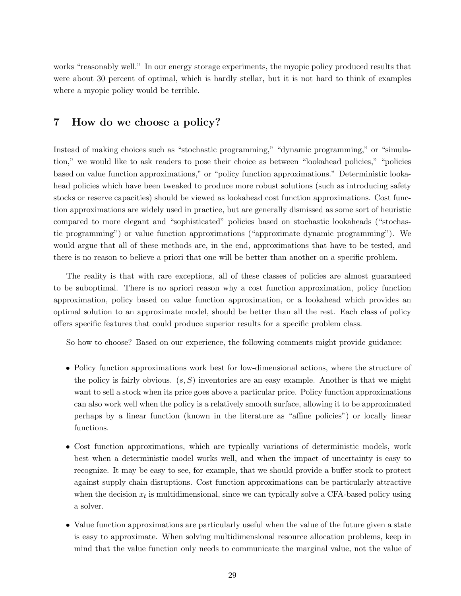works "reasonably well." In our energy storage experiments, the myopic policy produced results that were about 30 percent of optimal, which is hardly stellar, but it is not hard to think of examples where a myopic policy would be terrible.

## <span id="page-31-0"></span>7 How do we choose a policy?

Instead of making choices such as "stochastic programming," "dynamic programming," or "simulation," we would like to ask readers to pose their choice as between "lookahead policies," "policies based on value function approximations," or "policy function approximations." Deterministic lookahead policies which have been tweaked to produce more robust solutions (such as introducing safety stocks or reserve capacities) should be viewed as lookahead cost function approximations. Cost function approximations are widely used in practice, but are generally dismissed as some sort of heuristic compared to more elegant and "sophisticated" policies based on stochastic lookaheads ("stochastic programming") or value function approximations ("approximate dynamic programming"). We would argue that all of these methods are, in the end, approximations that have to be tested, and there is no reason to believe a priori that one will be better than another on a specific problem.

The reality is that with rare exceptions, all of these classes of policies are almost guaranteed to be suboptimal. There is no apriori reason why a cost function approximation, policy function approximation, policy based on value function approximation, or a lookahead which provides an optimal solution to an approximate model, should be better than all the rest. Each class of policy offers specific features that could produce superior results for a specific problem class.

So how to choose? Based on our experience, the following comments might provide guidance:

- Policy function approximations work best for low-dimensional actions, where the structure of the policy is fairly obvious.  $(s, S)$  inventories are an easy example. Another is that we might want to sell a stock when its price goes above a particular price. Policy function approximations can also work well when the policy is a relatively smooth surface, allowing it to be approximated perhaps by a linear function (known in the literature as "affine policies") or locally linear functions.
- Cost function approximations, which are typically variations of deterministic models, work best when a deterministic model works well, and when the impact of uncertainty is easy to recognize. It may be easy to see, for example, that we should provide a buffer stock to protect against supply chain disruptions. Cost function approximations can be particularly attractive when the decision  $x_t$  is multidimensional, since we can typically solve a CFA-based policy using a solver.
- Value function approximations are particularly useful when the value of the future given a state is easy to approximate. When solving multidimensional resource allocation problems, keep in mind that the value function only needs to communicate the marginal value, not the value of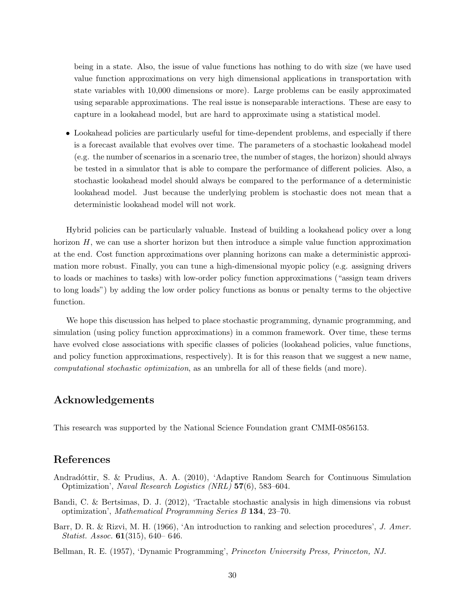being in a state. Also, the issue of value functions has nothing to do with size (we have used value function approximations on very high dimensional applications in transportation with state variables with 10,000 dimensions or more). Large problems can be easily approximated using separable approximations. The real issue is nonseparable interactions. These are easy to capture in a lookahead model, but are hard to approximate using a statistical model.

• Lookahead policies are particularly useful for time-dependent problems, and especially if there is a forecast available that evolves over time. The parameters of a stochastic lookahead model (e.g. the number of scenarios in a scenario tree, the number of stages, the horizon) should always be tested in a simulator that is able to compare the performance of different policies. Also, a stochastic lookahead model should always be compared to the performance of a deterministic lookahead model. Just because the underlying problem is stochastic does not mean that a deterministic lookahead model will not work.

Hybrid policies can be particularly valuable. Instead of building a lookahead policy over a long horizon  $H$ , we can use a shorter horizon but then introduce a simple value function approximation at the end. Cost function approximations over planning horizons can make a deterministic approximation more robust. Finally, you can tune a high-dimensional myopic policy (e.g. assigning drivers to loads or machines to tasks) with low-order policy function approximations ("assign team drivers to long loads") by adding the low order policy functions as bonus or penalty terms to the objective function.

We hope this discussion has helped to place stochastic programming, dynamic programming, and simulation (using policy function approximations) in a common framework. Over time, these terms have evolved close associations with specific classes of policies (lookahead policies, value functions, and policy function approximations, respectively). It is for this reason that we suggest a new name, computational stochastic optimization, as an umbrella for all of these fields (and more).

## <span id="page-32-0"></span>Acknowledgements

This research was supported by the National Science Foundation grant CMMI-0856153.

### References

- <span id="page-32-3"></span>Andradóttir, S. & Prudius, A. A. (2010), 'Adaptive Random Search for Continuous Simulation Optimization', Naval Research Logistics (NRL) 57(6), 583–604.
- <span id="page-32-2"></span>Bandi, C. & Bertsimas, D. J. (2012), 'Tractable stochastic analysis in high dimensions via robust optimization', Mathematical Programming Series B 134, 23–70.
- <span id="page-32-4"></span>Barr, D. R. & Rizvi, M. H. (1966), 'An introduction to ranking and selection procedures', J. Amer. Statist. Assoc. 61(315), 640– 646.
- <span id="page-32-1"></span>Bellman, R. E. (1957), 'Dynamic Programming', Princeton University Press, Princeton, NJ.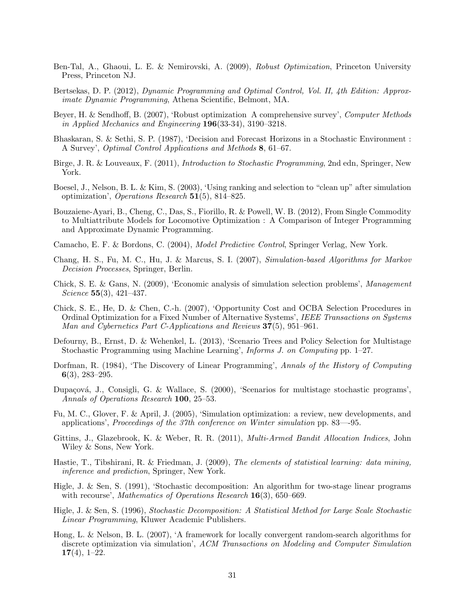- <span id="page-33-3"></span>Ben-Tal, A., Ghaoui, L. E. & Nemirovski, A. (2009), Robust Optimization, Princeton University Press, Princeton NJ.
- <span id="page-33-15"></span>Bertsekas, D. P. (2012), Dynamic Programming and Optimal Control, Vol. II, 4th Edition: Approximate Dynamic Programming, Athena Scientific, Belmont, MA.
- <span id="page-33-2"></span>Beyer, H. & Sendhoff, B. (2007), 'Robust optimization A comprehensive survey', Computer Methods in Applied Mechanics and Engineering 196(33-34), 3190–3218.
- <span id="page-33-19"></span>Bhaskaran, S. & Sethi, S. P. (1987), 'Decision and Forecast Horizons in a Stochastic Environment : A Survey', Optimal Control Applications and Methods 8, 61–67.
- <span id="page-33-7"></span>Birge, J. R. & Louveaux, F. (2011), Introduction to Stochastic Programming, 2nd edn, Springer, New York.
- <span id="page-33-13"></span>Boesel, J., Nelson, B. L. & Kim, S. (2003), 'Using ranking and selection to "clean up" after simulation optimization', *Operations Research*  $\mathbf{51}(5)$ , 814–825.
- <span id="page-33-1"></span>Bouzaiene-Ayari, B., Cheng, C., Das, S., Fiorillo, R. & Powell, W. B. (2012), From Single Commodity to Multiattribute Models for Locomotive Optimization : A Comparison of Integer Programming and Approximate Dynamic Programming.
- <span id="page-33-14"></span>Camacho, E. F. & Bordons, C. (2004), Model Predictive Control, Springer Verlag, New York.
- <span id="page-33-8"></span>Chang, H. S., Fu, M. C., Hu, J. & Marcus, S. I. (2007), Simulation-based Algorithms for Markov Decision Processes, Springer, Berlin.
- <span id="page-33-12"></span>Chick, S. E. & Gans, N. (2009), 'Economic analysis of simulation selection problems', Management Science 55(3), 421–437.
- <span id="page-33-11"></span>Chick, S. E., He, D. & Chen, C.-h. (2007), 'Opportunity Cost and OCBA Selection Procedures in Ordinal Optimization for a Fixed Number of Alternative Systems', IEEE Transactions on Systems Man and Cybernetics Part C-Applications and Reviews 37(5), 951–961.
- <span id="page-33-5"></span>Defourny, B., Ernst, D. & Wehenkel, L. (2013), 'Scenario Trees and Policy Selection for Multistage Stochastic Programming using Machine Learning', Informs J. on Computing pp. 1–27.
- <span id="page-33-0"></span>Dorfman, R. (1984), 'The Discovery of Linear Programming', Annals of the History of Computing 6(3), 283–295.
- <span id="page-33-16"></span>Dupaçová, J., Consigli, G. & Wallace, S. (2000), 'Scenarios for multistage stochastic programs', Annals of Operations Research 100, 25–53.
- <span id="page-33-9"></span>Fu, M. C., Glover, F. & April, J. (2005), 'Simulation optimization: a review, new developments, and applications', Proceedings of the 37th conference on Winter simulation pp. 83—-95.
- <span id="page-33-4"></span>Gittins, J., Glazebrook, K. & Weber, R. R. (2011), Multi-Armed Bandit Allocation Indices, John Wiley & Sons, New York.
- <span id="page-33-6"></span>Hastie, T., Tibshirani, R. & Friedman, J. (2009), The elements of statistical learning: data mining, inference and prediction, Springer, New York.
- <span id="page-33-17"></span>Higle, J. & Sen, S. (1991), 'Stochastic decomposition: An algorithm for two-stage linear programs with recourse', Mathematics of Operations Research 16(3), 650–669.
- <span id="page-33-18"></span>Higle, J. & Sen, S. (1996), Stochastic Decomposition: A Statistical Method for Large Scale Stochastic Linear Programming, Kluwer Academic Publishers.
- <span id="page-33-10"></span>Hong, L. & Nelson, B. L. (2007), 'A framework for locally convergent random-search algorithms for discrete optimization via simulation', ACM Transactions on Modeling and Computer Simulation  $17(4)$ , 1–22.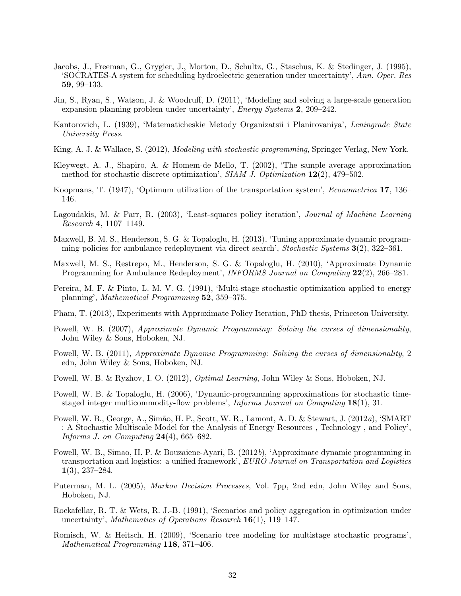- <span id="page-34-11"></span>Jacobs, J., Freeman, G., Grygier, J., Morton, D., Schultz, G., Staschus, K. & Stedinger, J. (1995), 'SOCRATES-A system for scheduling hydroelectric generation under uncertainty', Ann. Oper. Res 59, 99–133.
- <span id="page-34-12"></span>Jin, S., Ryan, S., Watson, J. & Woodruff, D. (2011), 'Modeling and solving a large-scale generation expansion planning problem under uncertainty', Energy Systems 2, 209–242.
- <span id="page-34-0"></span>Kantorovich, L. (1939), 'Matematicheskie Metody Organizatsii i Planirovaniya', Leningrade State University Press.
- <span id="page-34-15"></span>King, A. J. & Wallace, S. (2012), Modeling with stochastic programming, Springer Verlag, New York.
- <span id="page-34-9"></span>Kleywegt, A. J., Shapiro, A. & Homem-de Mello, T. (2002), 'The sample average approximation method for stochastic discrete optimization',  $SIAM J.$  Optimization  $12(2)$ , 479–502.
- <span id="page-34-1"></span>Koopmans, T. (1947), 'Optimum utilization of the transportation system', Econometrica 17, 136– 146.
- <span id="page-34-17"></span>Lagoudakis, M. & Parr, R. (2003), 'Least-squares policy iteration', *Journal of Machine Learning* Research 4, 1107–1149.
- <span id="page-34-19"></span>Maxwell, B. M. S., Henderson, S. G. & Topaloglu, H. (2013), 'Tuning approximate dynamic programming policies for ambulance redeployment via direct search', Stochastic Systems  $3(2)$ , 322–361.
- <span id="page-34-16"></span>Maxwell, M. S., Restrepo, M., Henderson, S. G. & Topaloglu, H. (2010), 'Approximate Dynamic Programming for Ambulance Redeployment', *INFORMS Journal on Computing* 22(2), 266–281.
- <span id="page-34-8"></span>Pereira, M. F. & Pinto, L. M. V. G. (1991), 'Multi-stage stochastic optimization applied to energy planning', Mathematical Programming 52, 359–375.
- <span id="page-34-18"></span>Pham, T. (2013), Experiments with Approximate Policy Iteration, PhD thesis, Princeton University.
- <span id="page-34-6"></span>Powell, W. B. (2007), Approximate Dynamic Programming: Solving the curses of dimensionality, John Wiley & Sons, Hoboken, NJ.
- <span id="page-34-5"></span>Powell, W. B. (2011), Approximate Dynamic Programming: Solving the curses of dimensionality, 2 edn, John Wiley & Sons, Hoboken, NJ.
- <span id="page-34-7"></span>Powell, W. B. & Ryzhov, I. O. (2012), *Optimal Learning*, John Wiley & Sons, Hoboken, NJ.
- <span id="page-34-13"></span>Powell, W. B. & Topaloglu, H. (2006), 'Dynamic-programming approximations for stochastic timestaged integer multicommodity-flow problems', Informs Journal on Computing 18(1), 31.
- <span id="page-34-3"></span>Powell, W. B., George, A., Simão, H. P., Scott, W. R., Lamont, A. D. & Stewart, J. (2012a), 'SMART : A Stochastic Multiscale Model for the Analysis of Energy Resources , Technology , and Policy', Informs J. on Computing  $24(4)$ , 665–682.
- <span id="page-34-2"></span>Powell, W. B., Simao, H. P. & Bouzaiene-Ayari, B. (2012b), 'Approximate dynamic programming in transportation and logistics: a unified framework', EURO Journal on Transportation and Logistics 1(3), 237–284.
- <span id="page-34-4"></span>Puterman, M. L. (2005), Markov Decision Processes, Vol. 7pp, 2nd edn, John Wiley and Sons, Hoboken, NJ.
- <span id="page-34-10"></span>Rockafellar, R. T. & Wets, R. J.-B. (1991), 'Scenarios and policy aggregation in optimization under uncertainty', Mathematics of Operations Research 16(1), 119–147.
- <span id="page-34-14"></span>Romisch, W. & Heitsch, H. (2009), 'Scenario tree modeling for multistage stochastic programs', Mathematical Programming 118, 371–406.